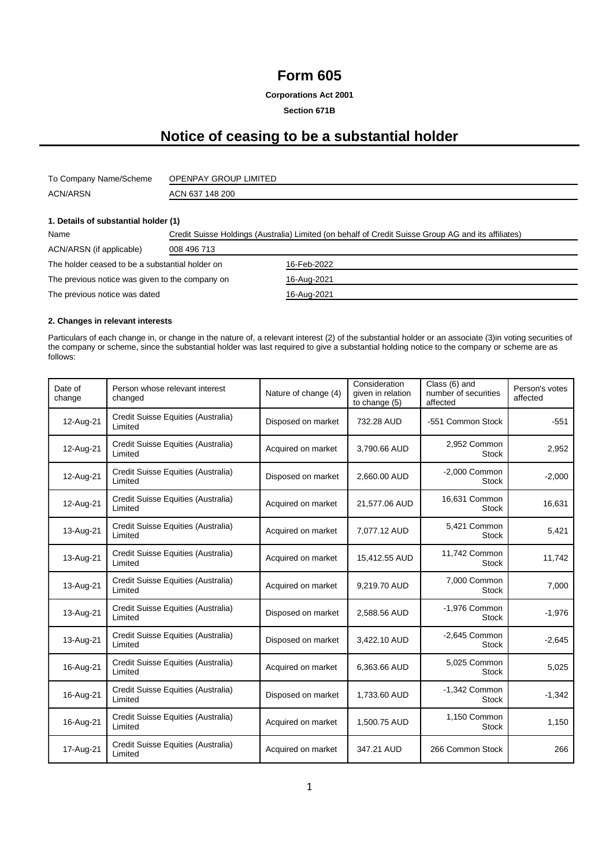## **Form 605**

**Corporations Act 2001**

**Section 671B**

# **Notice of ceasing to be a substantial holder**

| To Company Name/Scheme | OPENPAY GROUP LIMITED |
|------------------------|-----------------------|
| <b>ACN/ARSN</b>        | ACN 637 148 200       |

#### **1. Details of substantial holder (1)**

| Name                                            | Credit Suisse Holdings (Australia) Limited (on behalf of Credit Suisse Group AG and its affiliates) |             |  |  |  |
|-------------------------------------------------|-----------------------------------------------------------------------------------------------------|-------------|--|--|--|
| ACN/ARSN (if applicable)                        | 008 496 713                                                                                         |             |  |  |  |
| The holder ceased to be a substantial holder on |                                                                                                     | 16-Feb-2022 |  |  |  |
| The previous notice was given to the company on |                                                                                                     | 16-Aug-2021 |  |  |  |
| The previous notice was dated                   |                                                                                                     | 16-Aug-2021 |  |  |  |

#### **2. Changes in relevant interests**

Particulars of each change in, or change in the nature of, a relevant interest (2) of the substantial holder or an associate (3)in voting securities of the company or scheme, since the substantial holder was last required to give a substantial holding notice to the company or scheme are as follows:

| Date of<br>change | Person whose relevant interest<br>changed     | Nature of change (4) | Consideration<br>given in relation<br>to change (5) | Class (6) and<br>number of securities<br>affected | Person's votes<br>affected |
|-------------------|-----------------------------------------------|----------------------|-----------------------------------------------------|---------------------------------------------------|----------------------------|
| 12-Aug-21         | Credit Suisse Equities (Australia)<br>Limited | Disposed on market   | 732.28 AUD                                          | -551 Common Stock                                 | $-551$                     |
| 12-Aug-21         | Credit Suisse Equities (Australia)<br>Limited | Acquired on market   | 3,790.66 AUD                                        | 2,952 Common<br><b>Stock</b>                      | 2,952                      |
| 12-Aug-21         | Credit Suisse Equities (Australia)<br>Limited | Disposed on market   | 2,660.00 AUD                                        | -2,000 Common<br><b>Stock</b>                     | $-2,000$                   |
| 12-Aug-21         | Credit Suisse Equities (Australia)<br>Limited | Acquired on market   | 21,577.06 AUD                                       | 16,631 Common<br><b>Stock</b>                     | 16,631                     |
| 13-Aug-21         | Credit Suisse Equities (Australia)<br>Limited | Acquired on market   | 7,077.12 AUD                                        | 5,421 Common<br><b>Stock</b>                      | 5,421                      |
| 13-Aug-21         | Credit Suisse Equities (Australia)<br>Limited | Acquired on market   | 15,412.55 AUD                                       | 11,742 Common<br><b>Stock</b>                     | 11,742                     |
| 13-Aug-21         | Credit Suisse Equities (Australia)<br>Limited | Acquired on market   | 9,219.70 AUD                                        | 7,000 Common<br><b>Stock</b>                      | 7,000                      |
| 13-Aug-21         | Credit Suisse Equities (Australia)<br>Limited | Disposed on market   | 2,588.56 AUD                                        | -1,976 Common<br><b>Stock</b>                     | $-1,976$                   |
| 13-Aug-21         | Credit Suisse Equities (Australia)<br>Limited | Disposed on market   | 3,422.10 AUD                                        | $-2,645$ Common<br><b>Stock</b>                   | $-2,645$                   |
| 16-Aug-21         | Credit Suisse Equities (Australia)<br>Limited | Acquired on market   | 6,363.66 AUD                                        | 5,025 Common<br><b>Stock</b>                      | 5,025                      |
| 16-Aug-21         | Credit Suisse Equities (Australia)<br>Limited | Disposed on market   | 1,733.60 AUD                                        | -1,342 Common<br><b>Stock</b>                     | $-1,342$                   |
| 16-Aug-21         | Credit Suisse Equities (Australia)<br>Limited | Acquired on market   | 1,500.75 AUD                                        | 1,150 Common<br><b>Stock</b>                      | 1,150                      |
| 17-Aug-21         | Credit Suisse Equities (Australia)<br>Limited | Acquired on market   | 347.21 AUD                                          | 266 Common Stock                                  | 266                        |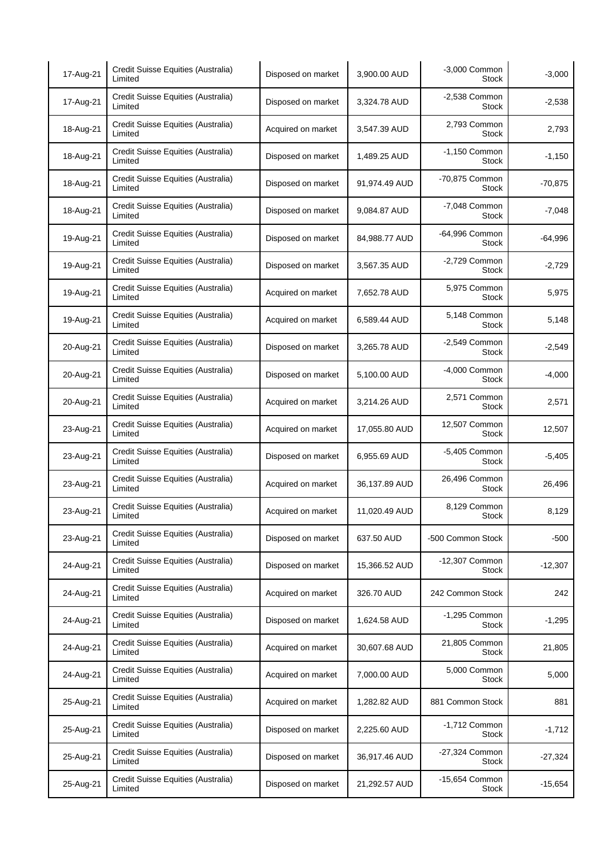| 17-Aug-21 | Credit Suisse Equities (Australia)<br>Limited | Disposed on market | 3,900.00 AUD  | -3,000 Common<br><b>Stock</b>   | $-3,000$  |
|-----------|-----------------------------------------------|--------------------|---------------|---------------------------------|-----------|
| 17-Aug-21 | Credit Suisse Equities (Australia)<br>Limited | Disposed on market | 3,324.78 AUD  | $-2,538$ Common<br><b>Stock</b> | $-2,538$  |
| 18-Aug-21 | Credit Suisse Equities (Australia)<br>Limited | Acquired on market | 3,547.39 AUD  | 2,793 Common<br><b>Stock</b>    | 2,793     |
| 18-Aug-21 | Credit Suisse Equities (Australia)<br>Limited | Disposed on market | 1,489.25 AUD  | $-1,150$ Common<br><b>Stock</b> | $-1,150$  |
| 18-Aug-21 | Credit Suisse Equities (Australia)<br>Limited | Disposed on market | 91,974.49 AUD | -70,875 Common<br>Stock         | $-70,875$ |
| 18-Aug-21 | Credit Suisse Equities (Australia)<br>Limited | Disposed on market | 9,084.87 AUD  | -7,048 Common<br>Stock          | $-7,048$  |
| 19-Aug-21 | Credit Suisse Equities (Australia)<br>Limited | Disposed on market | 84,988.77 AUD | -64,996 Common<br><b>Stock</b>  | $-64,996$ |
| 19-Aug-21 | Credit Suisse Equities (Australia)<br>Limited | Disposed on market | 3,567.35 AUD  | -2,729 Common<br><b>Stock</b>   | $-2,729$  |
| 19-Aug-21 | Credit Suisse Equities (Australia)<br>Limited | Acquired on market | 7,652.78 AUD  | 5,975 Common<br><b>Stock</b>    | 5,975     |
| 19-Aug-21 | Credit Suisse Equities (Australia)<br>Limited | Acquired on market | 6,589.44 AUD  | 5,148 Common<br><b>Stock</b>    | 5,148     |
| 20-Aug-21 | Credit Suisse Equities (Australia)<br>Limited | Disposed on market | 3,265.78 AUD  | -2,549 Common<br><b>Stock</b>   | $-2,549$  |
| 20-Aug-21 | Credit Suisse Equities (Australia)<br>Limited | Disposed on market | 5,100.00 AUD  | -4,000 Common<br><b>Stock</b>   | $-4,000$  |
| 20-Aug-21 | Credit Suisse Equities (Australia)<br>Limited | Acquired on market | 3,214.26 AUD  | 2,571 Common<br><b>Stock</b>    | 2,571     |
| 23-Aug-21 | Credit Suisse Equities (Australia)<br>Limited | Acquired on market | 17,055.80 AUD | 12,507 Common<br><b>Stock</b>   | 12,507    |
| 23-Aug-21 | Credit Suisse Equities (Australia)<br>Limited | Disposed on market | 6,955.69 AUD  | -5,405 Common<br><b>Stock</b>   | $-5,405$  |
| 23-Aug-21 | Credit Suisse Equities (Australia)<br>Limited | Acquired on market | 36,137.89 AUD | 26,496 Common<br><b>Stock</b>   | 26,496    |
| 23-Aug-21 | Credit Suisse Equities (Australia)<br>Limited | Acquired on market | 11,020.49 AUD | 8,129 Common<br><b>Stock</b>    | 8,129     |
| 23-Aug-21 | Credit Suisse Equities (Australia)<br>Limited | Disposed on market | 637.50 AUD    | -500 Common Stock               | $-500$    |
| 24-Aug-21 | Credit Suisse Equities (Australia)<br>Limited | Disposed on market | 15,366.52 AUD | -12,307 Common<br><b>Stock</b>  | $-12,307$ |
| 24-Aug-21 | Credit Suisse Equities (Australia)<br>Limited | Acquired on market | 326.70 AUD    | 242 Common Stock                | 242       |
| 24-Aug-21 | Credit Suisse Equities (Australia)<br>Limited | Disposed on market | 1,624.58 AUD  | -1,295 Common<br><b>Stock</b>   | $-1,295$  |
| 24-Aug-21 | Credit Suisse Equities (Australia)<br>Limited | Acquired on market | 30,607.68 AUD | 21,805 Common<br>Stock          | 21,805    |
| 24-Aug-21 | Credit Suisse Equities (Australia)<br>Limited | Acquired on market | 7,000.00 AUD  | 5,000 Common<br>Stock           | 5,000     |
| 25-Aug-21 | Credit Suisse Equities (Australia)<br>Limited | Acquired on market | 1,282.82 AUD  | 881 Common Stock                | 881       |
| 25-Aug-21 | Credit Suisse Equities (Australia)<br>Limited | Disposed on market | 2,225.60 AUD  | $-1,712$ Common<br><b>Stock</b> | $-1,712$  |
| 25-Aug-21 | Credit Suisse Equities (Australia)<br>Limited | Disposed on market | 36,917.46 AUD | -27,324 Common<br>Stock         | $-27,324$ |
| 25-Aug-21 | Credit Suisse Equities (Australia)<br>Limited | Disposed on market | 21,292.57 AUD | -15,654 Common<br><b>Stock</b>  | $-15,654$ |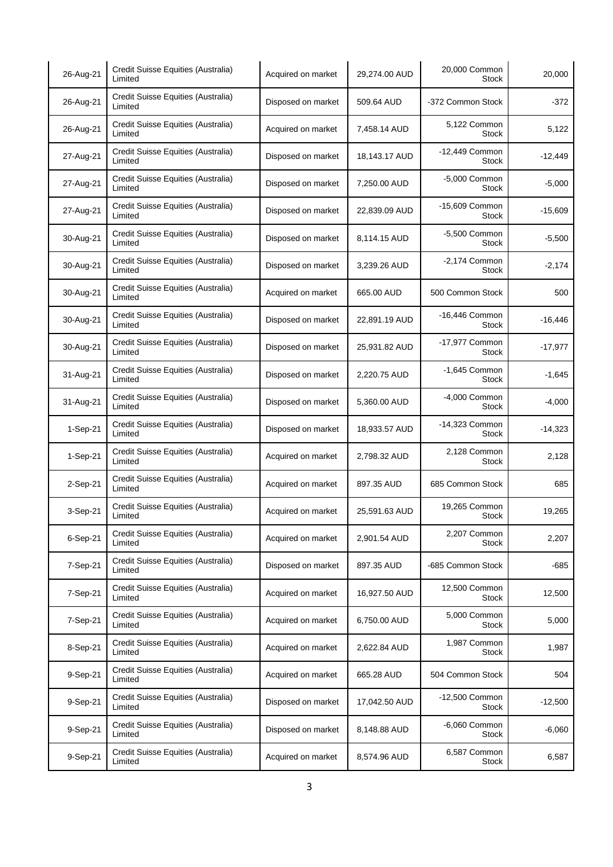| 26-Aug-21 | Credit Suisse Equities (Australia)<br>Limited | Acquired on market | 29,274.00 AUD | 20,000 Common<br>Stock          | 20,000    |
|-----------|-----------------------------------------------|--------------------|---------------|---------------------------------|-----------|
| 26-Aug-21 | Credit Suisse Equities (Australia)<br>Limited | Disposed on market | 509.64 AUD    | -372 Common Stock               | $-372$    |
| 26-Aug-21 | Credit Suisse Equities (Australia)<br>Limited | Acquired on market | 7,458.14 AUD  | 5,122 Common<br><b>Stock</b>    | 5,122     |
| 27-Aug-21 | Credit Suisse Equities (Australia)<br>Limited | Disposed on market | 18,143.17 AUD | -12,449 Common<br><b>Stock</b>  | $-12,449$ |
| 27-Aug-21 | Credit Suisse Equities (Australia)<br>Limited | Disposed on market | 7,250.00 AUD  | -5,000 Common<br><b>Stock</b>   | $-5,000$  |
| 27-Aug-21 | Credit Suisse Equities (Australia)<br>Limited | Disposed on market | 22,839.09 AUD | -15,609 Common<br>Stock         | $-15,609$ |
| 30-Aug-21 | Credit Suisse Equities (Australia)<br>Limited | Disposed on market | 8,114.15 AUD  | -5,500 Common<br><b>Stock</b>   | $-5,500$  |
| 30-Aug-21 | Credit Suisse Equities (Australia)<br>Limited | Disposed on market | 3,239.26 AUD  | $-2,174$ Common<br><b>Stock</b> | $-2,174$  |
| 30-Aug-21 | Credit Suisse Equities (Australia)<br>Limited | Acquired on market | 665.00 AUD    | 500 Common Stock                | 500       |
| 30-Aug-21 | Credit Suisse Equities (Australia)<br>Limited | Disposed on market | 22,891.19 AUD | -16,446 Common<br><b>Stock</b>  | $-16,446$ |
| 30-Aug-21 | Credit Suisse Equities (Australia)<br>Limited | Disposed on market | 25,931.82 AUD | -17,977 Common<br><b>Stock</b>  | $-17,977$ |
| 31-Aug-21 | Credit Suisse Equities (Australia)<br>Limited | Disposed on market | 2,220.75 AUD  | -1,645 Common<br><b>Stock</b>   | $-1,645$  |
| 31-Aug-21 | Credit Suisse Equities (Australia)<br>Limited | Disposed on market | 5,360.00 AUD  | -4,000 Common<br><b>Stock</b>   | $-4,000$  |
| 1-Sep-21  | Credit Suisse Equities (Australia)<br>Limited | Disposed on market | 18,933.57 AUD | -14,323 Common<br><b>Stock</b>  | $-14,323$ |
| 1-Sep-21  | Credit Suisse Equities (Australia)<br>Limited | Acquired on market | 2,798.32 AUD  | 2,128 Common<br>Stock           | 2,128     |
| 2-Sep-21  | Credit Suisse Equities (Australia)<br>Limited | Acquired on market | 897.35 AUD    | 685 Common Stock                | 685       |
| 3-Sep-21  | Credit Suisse Equities (Australia)<br>Limited | Acquired on market | 25,591.63 AUD | 19,265 Common<br><b>Stock</b>   | 19,265    |
| 6-Sep-21  | Credit Suisse Equities (Australia)<br>Limited | Acquired on market | 2,901.54 AUD  | 2,207 Common<br><b>Stock</b>    | 2,207     |
| 7-Sep-21  | Credit Suisse Equities (Australia)<br>Limited | Disposed on market | 897.35 AUD    | -685 Common Stock               | -685      |
| 7-Sep-21  | Credit Suisse Equities (Australia)<br>Limited | Acquired on market | 16,927.50 AUD | 12,500 Common<br><b>Stock</b>   | 12,500    |
| 7-Sep-21  | Credit Suisse Equities (Australia)<br>Limited | Acquired on market | 6,750.00 AUD  | 5,000 Common<br><b>Stock</b>    | 5,000     |
| 8-Sep-21  | Credit Suisse Equities (Australia)<br>Limited | Acquired on market | 2,622.84 AUD  | 1,987 Common<br><b>Stock</b>    | 1,987     |
| 9-Sep-21  | Credit Suisse Equities (Australia)<br>Limited | Acquired on market | 665.28 AUD    | 504 Common Stock                | 504       |
| 9-Sep-21  | Credit Suisse Equities (Australia)<br>Limited | Disposed on market | 17,042.50 AUD | -12,500 Common<br><b>Stock</b>  | $-12,500$ |
| 9-Sep-21  | Credit Suisse Equities (Australia)<br>Limited | Disposed on market | 8,148.88 AUD  | -6,060 Common<br>Stock          | $-6,060$  |
| 9-Sep-21  | Credit Suisse Equities (Australia)<br>Limited | Acquired on market | 8,574.96 AUD  | 6,587 Common<br><b>Stock</b>    | 6,587     |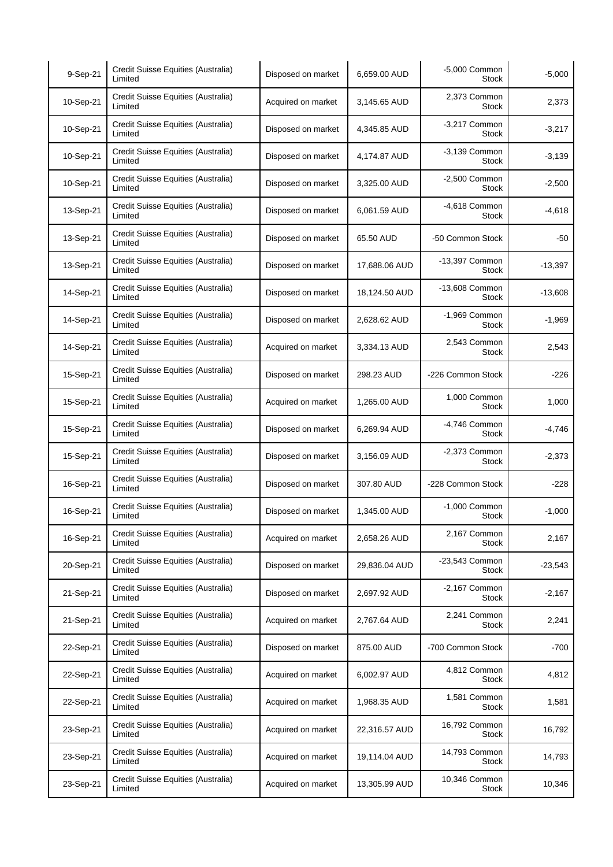| 9-Sep-21  | Credit Suisse Equities (Australia)<br>Limited | Disposed on market | 6,659.00 AUD  | -5,000 Common<br>Stock          | $-5,000$  |
|-----------|-----------------------------------------------|--------------------|---------------|---------------------------------|-----------|
| 10-Sep-21 | Credit Suisse Equities (Australia)<br>Limited | Acquired on market | 3,145.65 AUD  | 2,373 Common<br><b>Stock</b>    | 2,373     |
| 10-Sep-21 | Credit Suisse Equities (Australia)<br>Limited | Disposed on market | 4,345.85 AUD  | -3,217 Common<br><b>Stock</b>   | $-3,217$  |
| 10-Sep-21 | Credit Suisse Equities (Australia)<br>Limited | Disposed on market | 4,174.87 AUD  | -3,139 Common<br>Stock          | $-3,139$  |
| 10-Sep-21 | Credit Suisse Equities (Australia)<br>Limited | Disposed on market | 3.325.00 AUD  | $-2,500$ Common<br>Stock        | $-2,500$  |
| 13-Sep-21 | Credit Suisse Equities (Australia)<br>Limited | Disposed on market | 6,061.59 AUD  | -4,618 Common<br><b>Stock</b>   | $-4,618$  |
| 13-Sep-21 | Credit Suisse Equities (Australia)<br>Limited | Disposed on market | 65.50 AUD     | -50 Common Stock                | -50       |
| 13-Sep-21 | Credit Suisse Equities (Australia)<br>Limited | Disposed on market | 17,688.06 AUD | -13,397 Common<br><b>Stock</b>  | $-13,397$ |
| 14-Sep-21 | Credit Suisse Equities (Australia)<br>Limited | Disposed on market | 18,124.50 AUD | -13,608 Common<br><b>Stock</b>  | $-13,608$ |
| 14-Sep-21 | Credit Suisse Equities (Australia)<br>Limited | Disposed on market | 2,628.62 AUD  | -1,969 Common<br>Stock          | $-1,969$  |
| 14-Sep-21 | Credit Suisse Equities (Australia)<br>Limited | Acquired on market | 3,334.13 AUD  | 2,543 Common<br>Stock           | 2,543     |
| 15-Sep-21 | Credit Suisse Equities (Australia)<br>Limited | Disposed on market | 298.23 AUD    | -226 Common Stock               | $-226$    |
| 15-Sep-21 | Credit Suisse Equities (Australia)<br>Limited | Acquired on market | 1,265.00 AUD  | 1,000 Common<br><b>Stock</b>    | 1,000     |
| 15-Sep-21 | Credit Suisse Equities (Australia)<br>Limited | Disposed on market | 6,269.94 AUD  | -4,746 Common<br><b>Stock</b>   | $-4,746$  |
| 15-Sep-21 | Credit Suisse Equities (Australia)<br>Limited | Disposed on market | 3,156.09 AUD  | $-2,373$ Common<br><b>Stock</b> | $-2,373$  |
| 16-Sep-21 | Credit Suisse Equities (Australia)<br>Limited | Disposed on market | 307.80 AUD    | -228 Common Stock               | $-228$    |
| 16-Sep-21 | Credit Suisse Equities (Australia)<br>Limited | Disposed on market | 1,345.00 AUD  | -1,000 Common<br>Stock          | $-1,000$  |
| 16-Sep-21 | Credit Suisse Equities (Australia)<br>Limited | Acquired on market | 2,658.26 AUD  | 2,167 Common<br>Stock           | 2,167     |
| 20-Sep-21 | Credit Suisse Equities (Australia)<br>Limited | Disposed on market | 29,836.04 AUD | -23,543 Common<br>Stock         | $-23,543$ |
| 21-Sep-21 | Credit Suisse Equities (Australia)<br>Limited | Disposed on market | 2,697.92 AUD  | -2,167 Common<br><b>Stock</b>   | $-2,167$  |
| 21-Sep-21 | Credit Suisse Equities (Australia)<br>Limited | Acquired on market | 2,767.64 AUD  | 2,241 Common<br>Stock           | 2,241     |
| 22-Sep-21 | Credit Suisse Equities (Australia)<br>Limited | Disposed on market | 875.00 AUD    | -700 Common Stock               | $-700$    |
| 22-Sep-21 | Credit Suisse Equities (Australia)<br>Limited | Acquired on market | 6,002.97 AUD  | 4,812 Common<br>Stock           | 4,812     |
| 22-Sep-21 | Credit Suisse Equities (Australia)<br>Limited | Acquired on market | 1,968.35 AUD  | 1,581 Common<br>Stock           | 1,581     |
| 23-Sep-21 | Credit Suisse Equities (Australia)<br>Limited | Acquired on market | 22,316.57 AUD | 16,792 Common<br><b>Stock</b>   | 16,792    |
| 23-Sep-21 | Credit Suisse Equities (Australia)<br>Limited | Acquired on market | 19,114.04 AUD | 14,793 Common<br><b>Stock</b>   | 14,793    |
| 23-Sep-21 | Credit Suisse Equities (Australia)<br>Limited | Acquired on market | 13,305.99 AUD | 10,346 Common<br>Stock          | 10,346    |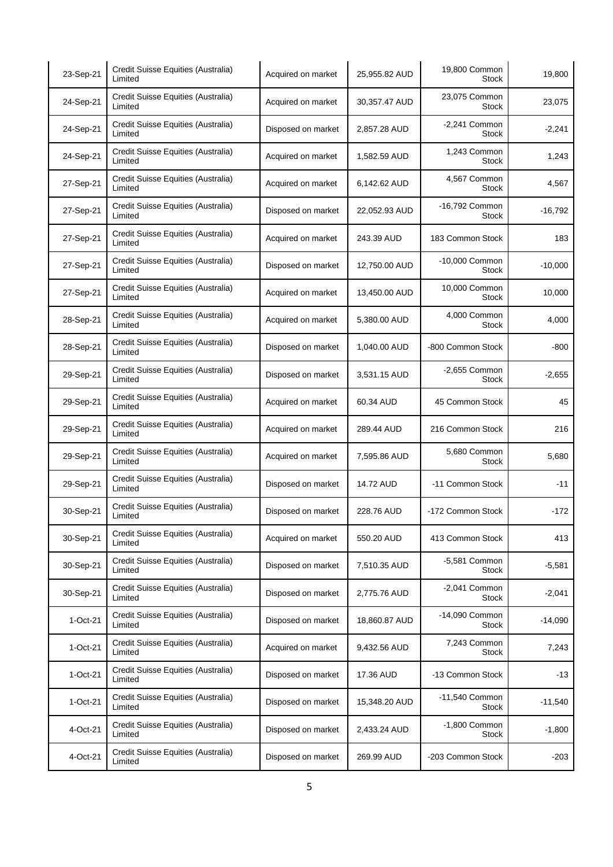| 23-Sep-21  | Credit Suisse Equities (Australia)<br>Limited | Acquired on market | 25,955.82 AUD | 19,800 Common<br>Stock          | 19,800    |
|------------|-----------------------------------------------|--------------------|---------------|---------------------------------|-----------|
| 24-Sep-21  | Credit Suisse Equities (Australia)<br>Limited | Acquired on market | 30,357.47 AUD | 23,075 Common<br><b>Stock</b>   | 23,075    |
| 24-Sep-21  | Credit Suisse Equities (Australia)<br>Limited | Disposed on market | 2,857.28 AUD  | $-2,241$ Common<br><b>Stock</b> | $-2,241$  |
| 24-Sep-21  | Credit Suisse Equities (Australia)<br>Limited | Acquired on market | 1,582.59 AUD  | 1,243 Common<br><b>Stock</b>    | 1,243     |
| 27-Sep-21  | Credit Suisse Equities (Australia)<br>Limited | Acquired on market | 6,142.62 AUD  | 4,567 Common<br><b>Stock</b>    | 4,567     |
| 27-Sep-21  | Credit Suisse Equities (Australia)<br>Limited | Disposed on market | 22,052.93 AUD | -16,792 Common<br>Stock         | $-16,792$ |
| 27-Sep-21  | Credit Suisse Equities (Australia)<br>Limited | Acquired on market | 243.39 AUD    | 183 Common Stock                | 183       |
| 27-Sep-21  | Credit Suisse Equities (Australia)<br>Limited | Disposed on market | 12,750.00 AUD | -10,000 Common<br><b>Stock</b>  | $-10,000$ |
| 27-Sep-21  | Credit Suisse Equities (Australia)<br>Limited | Acquired on market | 13,450.00 AUD | 10,000 Common<br><b>Stock</b>   | 10,000    |
| 28-Sep-21  | Credit Suisse Equities (Australia)<br>Limited | Acquired on market | 5,380.00 AUD  | 4,000 Common<br><b>Stock</b>    | 4,000     |
| 28-Sep-21  | Credit Suisse Equities (Australia)<br>Limited | Disposed on market | 1,040.00 AUD  | -800 Common Stock               | -800      |
| 29-Sep-21  | Credit Suisse Equities (Australia)<br>Limited | Disposed on market | 3,531.15 AUD  | -2,655 Common<br><b>Stock</b>   | $-2,655$  |
| 29-Sep-21  | Credit Suisse Equities (Australia)<br>Limited | Acquired on market | 60.34 AUD     | 45 Common Stock                 | 45        |
| 29-Sep-21  | Credit Suisse Equities (Australia)<br>Limited | Acquired on market | 289.44 AUD    | 216 Common Stock                | 216       |
| 29-Sep-21  | Credit Suisse Equities (Australia)<br>Limited | Acquired on market | 7,595.86 AUD  | 5,680 Common<br><b>Stock</b>    | 5,680     |
| 29-Sep-21  | Credit Suisse Equities (Australia)<br>Limited | Disposed on market | 14.72 AUD     | -11 Common Stock                | $-11$     |
| 30-Sep-21  | Credit Suisse Equities (Australia)<br>Limited | Disposed on market | 228.76 AUD    | -172 Common Stock               | $-172$    |
| 30-Sep-21  | Credit Suisse Equities (Australia)<br>Limited | Acquired on market | 550.20 AUD    | 413 Common Stock                | 413       |
| 30-Sep-21  | Credit Suisse Equities (Australia)<br>Limited | Disposed on market | 7,510.35 AUD  | -5,581 Common<br><b>Stock</b>   | $-5,581$  |
| 30-Sep-21  | Credit Suisse Equities (Australia)<br>Limited | Disposed on market | 2,775.76 AUD  | $-2,041$ Common<br><b>Stock</b> | $-2,041$  |
| 1-Oct-21   | Credit Suisse Equities (Australia)<br>Limited | Disposed on market | 18,860.87 AUD | -14,090 Common<br><b>Stock</b>  | $-14,090$ |
| $1-Oct-21$ | Credit Suisse Equities (Australia)<br>Limited | Acquired on market | 9,432.56 AUD  | 7,243 Common<br>Stock           | 7,243     |
| 1-Oct-21   | Credit Suisse Equities (Australia)<br>Limited | Disposed on market | 17.36 AUD     | -13 Common Stock                | $-13$     |
| 1-Oct-21   | Credit Suisse Equities (Australia)<br>Limited | Disposed on market | 15,348.20 AUD | -11,540 Common<br>Stock         | $-11,540$ |
| 4-Oct-21   | Credit Suisse Equities (Australia)<br>Limited | Disposed on market | 2,433.24 AUD  | -1,800 Common<br>Stock          | $-1,800$  |
| 4-Oct-21   | Credit Suisse Equities (Australia)<br>Limited | Disposed on market | 269.99 AUD    | -203 Common Stock               | -203      |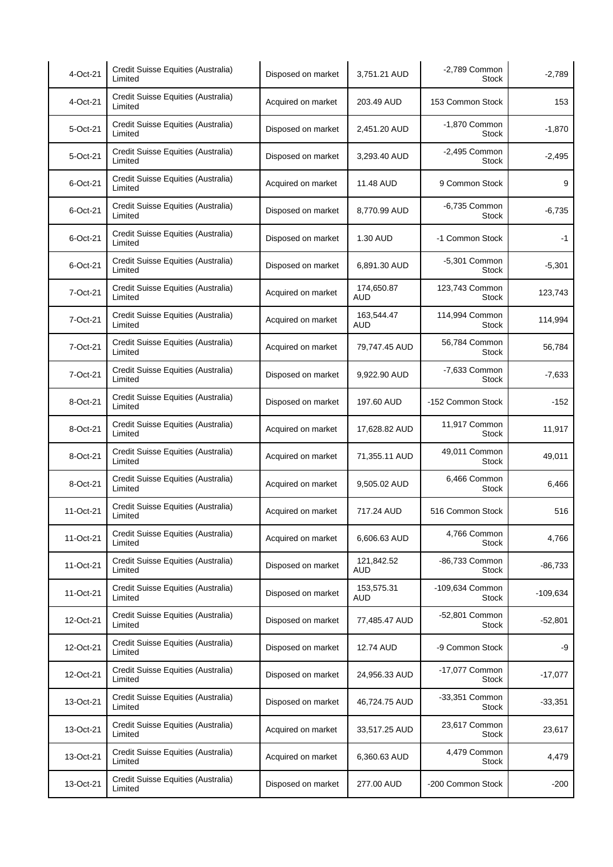| 4-Oct-21  | Credit Suisse Equities (Australia)<br>Limited | Disposed on market | 3,751.21 AUD             | -2,789 Common<br><b>Stock</b>   | $-2,789$   |
|-----------|-----------------------------------------------|--------------------|--------------------------|---------------------------------|------------|
| 4-Oct-21  | Credit Suisse Equities (Australia)<br>Limited | Acquired on market | 203.49 AUD               | 153 Common Stock                | 153        |
| 5-Oct-21  | Credit Suisse Equities (Australia)<br>Limited | Disposed on market | 2,451.20 AUD             | -1,870 Common<br><b>Stock</b>   | $-1,870$   |
| 5-Oct-21  | Credit Suisse Equities (Australia)<br>Limited | Disposed on market | 3,293.40 AUD             | $-2,495$ Common<br><b>Stock</b> | $-2,495$   |
| 6-Oct-21  | Credit Suisse Equities (Australia)<br>Limited | Acquired on market | 11.48 AUD                | 9 Common Stock                  | 9          |
| 6-Oct-21  | Credit Suisse Equities (Australia)<br>Limited | Disposed on market | 8,770.99 AUD             | -6,735 Common<br>Stock          | $-6,735$   |
| 6-Oct-21  | Credit Suisse Equities (Australia)<br>Limited | Disposed on market | 1.30 AUD                 | -1 Common Stock                 | $-1$       |
| 6-Oct-21  | Credit Suisse Equities (Australia)<br>Limited | Disposed on market | 6,891.30 AUD             | $-5,301$ Common<br><b>Stock</b> | $-5,301$   |
| 7-Oct-21  | Credit Suisse Equities (Australia)<br>Limited | Acquired on market | 174,650.87<br><b>AUD</b> | 123,743 Common<br><b>Stock</b>  | 123,743    |
| 7-Oct-21  | Credit Suisse Equities (Australia)<br>Limited | Acquired on market | 163,544.47<br><b>AUD</b> | 114,994 Common<br><b>Stock</b>  | 114,994    |
| 7-Oct-21  | Credit Suisse Equities (Australia)<br>Limited | Acquired on market | 79,747.45 AUD            | 56,784 Common<br><b>Stock</b>   | 56,784     |
| 7-Oct-21  | Credit Suisse Equities (Australia)<br>Limited | Disposed on market | 9,922.90 AUD             | -7,633 Common<br><b>Stock</b>   | $-7,633$   |
| 8-Oct-21  | Credit Suisse Equities (Australia)<br>Limited | Disposed on market | 197.60 AUD               | -152 Common Stock               | $-152$     |
| 8-Oct-21  | Credit Suisse Equities (Australia)<br>Limited | Acquired on market | 17,628.82 AUD            | 11,917 Common<br><b>Stock</b>   | 11,917     |
| 8-Oct-21  | Credit Suisse Equities (Australia)<br>Limited | Acquired on market | 71,355.11 AUD            | 49,011 Common<br><b>Stock</b>   | 49,011     |
| 8-Oct-21  | Credit Suisse Equities (Australia)<br>Limited | Acquired on market | 9,505.02 AUD             | 6,466 Common<br><b>Stock</b>    | 6,466      |
| 11-Oct-21 | Credit Suisse Equities (Australia)<br>Limited | Acquired on market | 717.24 AUD               | 516 Common Stock                | 516        |
| 11-Oct-21 | Credit Suisse Equities (Australia)<br>Limited | Acquired on market | 6,606.63 AUD             | 4,766 Common<br><b>Stock</b>    | 4,766      |
| 11-Oct-21 | Credit Suisse Equities (Australia)<br>Limited | Disposed on market | 121,842.52<br><b>AUD</b> | -86,733 Common<br><b>Stock</b>  | $-86,733$  |
| 11-Oct-21 | Credit Suisse Equities (Australia)<br>Limited | Disposed on market | 153,575.31<br>AUD        | -109,634 Common<br><b>Stock</b> | $-109,634$ |
| 12-Oct-21 | Credit Suisse Equities (Australia)<br>Limited | Disposed on market | 77,485.47 AUD            | -52,801 Common<br><b>Stock</b>  | $-52,801$  |
| 12-Oct-21 | Credit Suisse Equities (Australia)<br>Limited | Disposed on market | 12.74 AUD                | -9 Common Stock                 | -9         |
| 12-Oct-21 | Credit Suisse Equities (Australia)<br>Limited | Disposed on market | 24,956.33 AUD            | -17,077 Common<br>Stock         | $-17,077$  |
| 13-Oct-21 | Credit Suisse Equities (Australia)<br>Limited | Disposed on market | 46,724.75 AUD            | -33,351 Common<br><b>Stock</b>  | $-33,351$  |
| 13-Oct-21 | Credit Suisse Equities (Australia)<br>Limited | Acquired on market | 33,517.25 AUD            | 23,617 Common<br><b>Stock</b>   | 23,617     |
| 13-Oct-21 | Credit Suisse Equities (Australia)<br>Limited | Acquired on market | 6,360.63 AUD             | 4,479 Common<br><b>Stock</b>    | 4,479      |
| 13-Oct-21 | Credit Suisse Equities (Australia)<br>Limited | Disposed on market | 277.00 AUD               | -200 Common Stock               | $-200$     |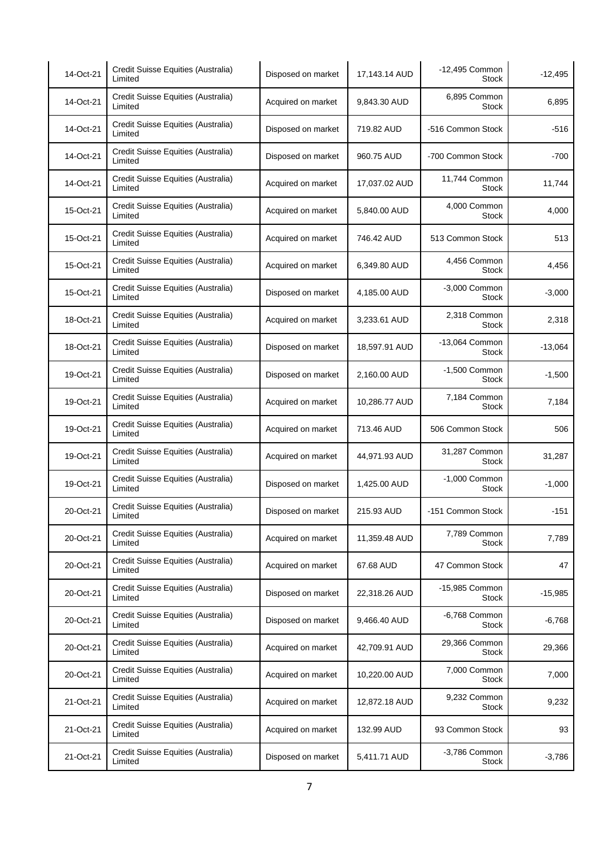| 14-Oct-21 | Credit Suisse Equities (Australia)<br>Limited | Disposed on market | 17,143.14 AUD | -12,495 Common<br>Stock       | $-12,495$ |
|-----------|-----------------------------------------------|--------------------|---------------|-------------------------------|-----------|
| 14-Oct-21 | Credit Suisse Equities (Australia)<br>Limited | Acquired on market | 9,843.30 AUD  | 6,895 Common<br><b>Stock</b>  | 6,895     |
| 14-Oct-21 | Credit Suisse Equities (Australia)<br>Limited | Disposed on market | 719.82 AUD    | -516 Common Stock             | -516      |
| 14-Oct-21 | Credit Suisse Equities (Australia)<br>Limited | Disposed on market | 960.75 AUD    | -700 Common Stock             | $-700$    |
| 14-Oct-21 | Credit Suisse Equities (Australia)<br>Limited | Acquired on market | 17,037.02 AUD | 11,744 Common<br><b>Stock</b> | 11,744    |
| 15-Oct-21 | Credit Suisse Equities (Australia)<br>Limited | Acquired on market | 5,840.00 AUD  | 4,000 Common<br>Stock         | 4,000     |
| 15-Oct-21 | Credit Suisse Equities (Australia)<br>Limited | Acquired on market | 746.42 AUD    | 513 Common Stock              | 513       |
| 15-Oct-21 | Credit Suisse Equities (Australia)<br>Limited | Acquired on market | 6,349.80 AUD  | 4,456 Common<br><b>Stock</b>  | 4,456     |
| 15-Oct-21 | Credit Suisse Equities (Australia)<br>Limited | Disposed on market | 4,185.00 AUD  | -3,000 Common<br>Stock        | $-3,000$  |
| 18-Oct-21 | Credit Suisse Equities (Australia)<br>Limited | Acquired on market | 3,233.61 AUD  | 2,318 Common<br>Stock         | 2,318     |
| 18-Oct-21 | Credit Suisse Equities (Australia)<br>Limited | Disposed on market | 18,597.91 AUD | -13,064 Common<br>Stock       | $-13,064$ |
| 19-Oct-21 | Credit Suisse Equities (Australia)<br>Limited | Disposed on market | 2,160.00 AUD  | -1,500 Common<br>Stock        | $-1,500$  |
| 19-Oct-21 | Credit Suisse Equities (Australia)<br>Limited | Acquired on market | 10,286.77 AUD | 7,184 Common<br><b>Stock</b>  | 7,184     |
| 19-Oct-21 | Credit Suisse Equities (Australia)<br>Limited | Acquired on market | 713.46 AUD    | 506 Common Stock              | 506       |
| 19-Oct-21 | Credit Suisse Equities (Australia)<br>Limited | Acquired on market | 44,971.93 AUD | 31,287 Common<br>Stock        | 31,287    |
| 19-Oct-21 | Credit Suisse Equities (Australia)<br>Limited | Disposed on market | 1,425.00 AUD  | -1,000 Common<br><b>Stock</b> | $-1,000$  |
| 20-Oct-21 | Credit Suisse Equities (Australia)<br>Limited | Disposed on market | 215.93 AUD    | -151 Common Stock             | $-151$    |
| 20-Oct-21 | Credit Suisse Equities (Australia)<br>Limited | Acquired on market | 11,359.48 AUD | 7,789 Common<br>Stock         | 7,789     |
| 20-Oct-21 | Credit Suisse Equities (Australia)<br>Limited | Acquired on market | 67.68 AUD     | 47 Common Stock               | 47        |
| 20-Oct-21 | Credit Suisse Equities (Australia)<br>Limited | Disposed on market | 22,318.26 AUD | -15,985 Common<br>Stock       | $-15,985$ |
| 20-Oct-21 | Credit Suisse Equities (Australia)<br>Limited | Disposed on market | 9,466.40 AUD  | -6,768 Common<br>Stock        | $-6,768$  |
| 20-Oct-21 | Credit Suisse Equities (Australia)<br>Limited | Acquired on market | 42,709.91 AUD | 29,366 Common<br>Stock        | 29,366    |
| 20-Oct-21 | Credit Suisse Equities (Australia)<br>Limited | Acquired on market | 10,220.00 AUD | 7,000 Common<br>Stock         | 7,000     |
| 21-Oct-21 | Credit Suisse Equities (Australia)<br>Limited | Acquired on market | 12,872.18 AUD | 9,232 Common<br>Stock         | 9,232     |
| 21-Oct-21 | Credit Suisse Equities (Australia)<br>Limited | Acquired on market | 132.99 AUD    | 93 Common Stock               | 93        |
| 21-Oct-21 | Credit Suisse Equities (Australia)<br>Limited | Disposed on market | 5,411.71 AUD  | -3,786 Common<br><b>Stock</b> | $-3,786$  |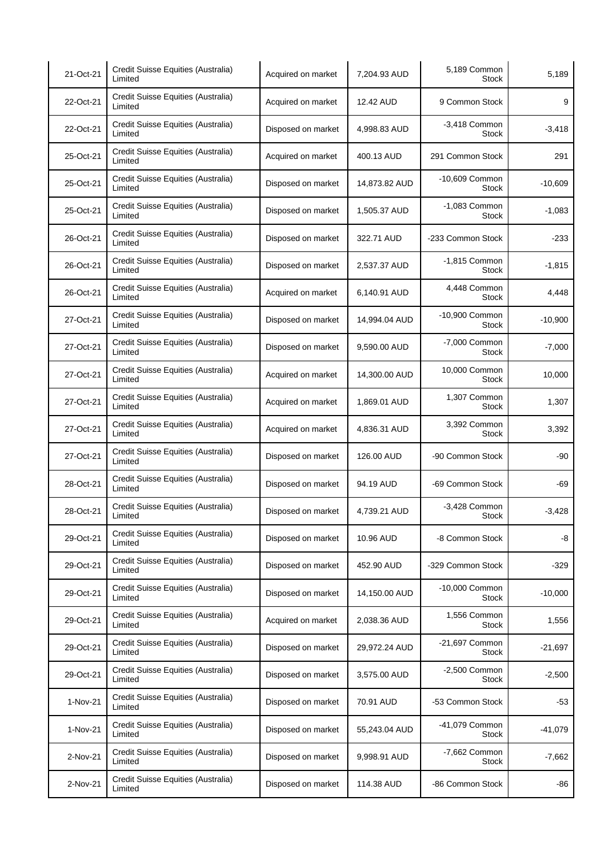| 21-Oct-21 | Credit Suisse Equities (Australia)<br>Limited | Acquired on market | 7,204.93 AUD  | 5,189 Common<br><b>Stock</b>    | 5,189     |
|-----------|-----------------------------------------------|--------------------|---------------|---------------------------------|-----------|
| 22-Oct-21 | Credit Suisse Equities (Australia)<br>Limited | Acquired on market | 12.42 AUD     | 9 Common Stock                  | 9         |
| 22-Oct-21 | Credit Suisse Equities (Australia)<br>Limited | Disposed on market | 4,998.83 AUD  | $-3,418$ Common<br><b>Stock</b> | $-3,418$  |
| 25-Oct-21 | Credit Suisse Equities (Australia)<br>Limited | Acquired on market | 400.13 AUD    | 291 Common Stock                | 291       |
| 25-Oct-21 | Credit Suisse Equities (Australia)<br>Limited | Disposed on market | 14,873.82 AUD | -10,609 Common<br>Stock         | $-10,609$ |
| 25-Oct-21 | Credit Suisse Equities (Australia)<br>Limited | Disposed on market | 1,505.37 AUD  | $-1,083$ Common<br>Stock        | $-1,083$  |
| 26-Oct-21 | Credit Suisse Equities (Australia)<br>Limited | Disposed on market | 322.71 AUD    | -233 Common Stock               | $-233$    |
| 26-Oct-21 | Credit Suisse Equities (Australia)<br>Limited | Disposed on market | 2,537.37 AUD  | $-1,815$ Common<br><b>Stock</b> | $-1,815$  |
| 26-Oct-21 | Credit Suisse Equities (Australia)<br>Limited | Acquired on market | 6,140.91 AUD  | 4,448 Common<br><b>Stock</b>    | 4,448     |
| 27-Oct-21 | Credit Suisse Equities (Australia)<br>Limited | Disposed on market | 14,994.04 AUD | -10,900 Common<br><b>Stock</b>  | $-10,900$ |
| 27-Oct-21 | Credit Suisse Equities (Australia)<br>Limited | Disposed on market | 9,590.00 AUD  | -7,000 Common<br>Stock          | $-7,000$  |
| 27-Oct-21 | Credit Suisse Equities (Australia)<br>Limited | Acquired on market | 14,300.00 AUD | 10,000 Common<br><b>Stock</b>   | 10,000    |
| 27-Oct-21 | Credit Suisse Equities (Australia)<br>Limited | Acquired on market | 1,869.01 AUD  | 1,307 Common<br><b>Stock</b>    | 1,307     |
| 27-Oct-21 | Credit Suisse Equities (Australia)<br>Limited | Acquired on market | 4,836.31 AUD  | 3,392 Common<br>Stock           | 3,392     |
| 27-Oct-21 | Credit Suisse Equities (Australia)<br>Limited | Disposed on market | 126.00 AUD    | -90 Common Stock                | -90       |
| 28-Oct-21 | Credit Suisse Equities (Australia)<br>Limited | Disposed on market | 94.19 AUD     | -69 Common Stock                | -69       |
| 28-Oct-21 | Credit Suisse Equities (Australia)<br>Limited | Disposed on market | 4,739.21 AUD  | $-3,428$ Common<br>Stock        | $-3,428$  |
| 29-Oct-21 | Credit Suisse Equities (Australia)<br>Limited | Disposed on market | 10.96 AUD     | -8 Common Stock                 | -8        |
| 29-Oct-21 | Credit Suisse Equities (Australia)<br>Limited | Disposed on market | 452.90 AUD    | -329 Common Stock               | $-329$    |
| 29-Oct-21 | Credit Suisse Equities (Australia)<br>Limited | Disposed on market | 14,150.00 AUD | -10,000 Common<br><b>Stock</b>  | $-10,000$ |
| 29-Oct-21 | Credit Suisse Equities (Australia)<br>Limited | Acquired on market | 2,038.36 AUD  | 1,556 Common<br><b>Stock</b>    | 1,556     |
| 29-Oct-21 | Credit Suisse Equities (Australia)<br>Limited | Disposed on market | 29,972.24 AUD | -21,697 Common<br>Stock         | $-21,697$ |
| 29-Oct-21 | Credit Suisse Equities (Australia)<br>Limited | Disposed on market | 3,575.00 AUD  | $-2,500$ Common<br>Stock        | $-2,500$  |
| 1-Nov-21  | Credit Suisse Equities (Australia)<br>Limited | Disposed on market | 70.91 AUD     | -53 Common Stock                | -53       |
| 1-Nov-21  | Credit Suisse Equities (Australia)<br>Limited | Disposed on market | 55,243.04 AUD | -41,079 Common<br><b>Stock</b>  | $-41,079$ |
| 2-Nov-21  | Credit Suisse Equities (Australia)<br>Limited | Disposed on market | 9,998.91 AUD  | -7,662 Common<br>Stock          | $-7,662$  |
| 2-Nov-21  | Credit Suisse Equities (Australia)<br>Limited | Disposed on market | 114.38 AUD    | -86 Common Stock                | -86       |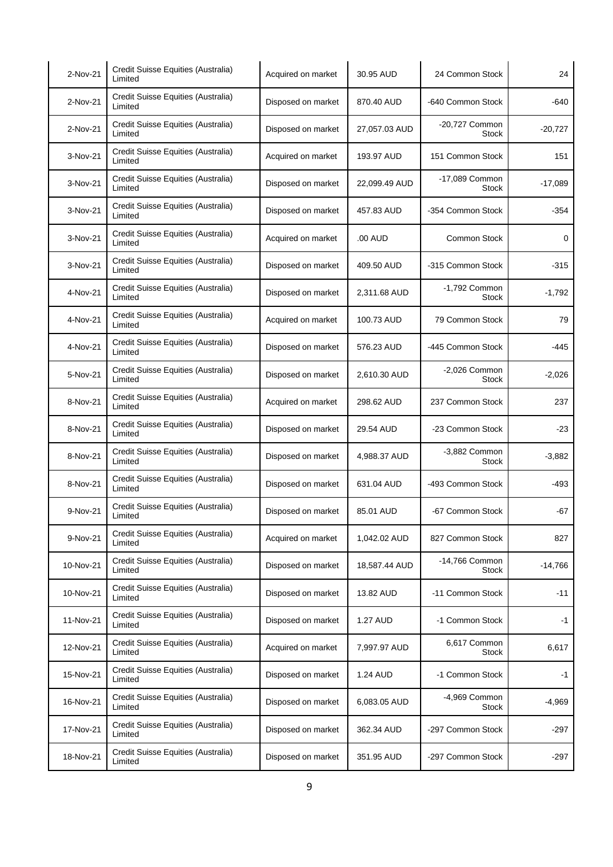| 2-Nov-21  | Credit Suisse Equities (Australia)<br>Limited | Acquired on market | 30.95 AUD     | 24 Common Stock                | 24        |
|-----------|-----------------------------------------------|--------------------|---------------|--------------------------------|-----------|
| 2-Nov-21  | Credit Suisse Equities (Australia)<br>Limited | Disposed on market | 870.40 AUD    | -640 Common Stock              | $-640$    |
| 2-Nov-21  | Credit Suisse Equities (Australia)<br>Limited | Disposed on market | 27,057.03 AUD | -20,727 Common<br><b>Stock</b> | $-20,727$ |
| 3-Nov-21  | Credit Suisse Equities (Australia)<br>Limited | Acquired on market | 193.97 AUD    | 151 Common Stock               | 151       |
| 3-Nov-21  | Credit Suisse Equities (Australia)<br>Limited | Disposed on market | 22,099.49 AUD | -17,089 Common<br>Stock        | $-17,089$ |
| 3-Nov-21  | Credit Suisse Equities (Australia)<br>Limited | Disposed on market | 457.83 AUD    | -354 Common Stock              | -354      |
| 3-Nov-21  | Credit Suisse Equities (Australia)<br>Limited | Acquired on market | .00 AUD       | <b>Common Stock</b>            | 0         |
| 3-Nov-21  | Credit Suisse Equities (Australia)<br>Limited | Disposed on market | 409.50 AUD    | -315 Common Stock              | -315      |
| 4-Nov-21  | Credit Suisse Equities (Australia)<br>Limited | Disposed on market | 2,311.68 AUD  | -1,792 Common<br>Stock         | $-1,792$  |
| 4-Nov-21  | Credit Suisse Equities (Australia)<br>Limited | Acquired on market | 100.73 AUD    | 79 Common Stock                | 79        |
| 4-Nov-21  | Credit Suisse Equities (Australia)<br>Limited | Disposed on market | 576.23 AUD    | -445 Common Stock              | -445      |
| 5-Nov-21  | Credit Suisse Equities (Australia)<br>Limited | Disposed on market | 2,610.30 AUD  | $-2,026$ Common<br>Stock       | $-2,026$  |
| 8-Nov-21  | Credit Suisse Equities (Australia)<br>Limited | Acquired on market | 298.62 AUD    | 237 Common Stock               | 237       |
| 8-Nov-21  | Credit Suisse Equities (Australia)<br>Limited | Disposed on market | 29.54 AUD     | -23 Common Stock               | $-23$     |
| 8-Nov-21  | Credit Suisse Equities (Australia)<br>Limited | Disposed on market | 4,988.37 AUD  | -3,882 Common<br><b>Stock</b>  | $-3,882$  |
| 8-Nov-21  | Credit Suisse Equities (Australia)<br>Limited | Disposed on market | 631.04 AUD    | -493 Common Stock              | -493      |
| 9-Nov-21  | Credit Suisse Equities (Australia)<br>Limited | Disposed on market | 85.01 AUD     | -67 Common Stock               | $-67$     |
| 9-Nov-21  | Credit Suisse Equities (Australia)<br>Limited | Acquired on market | 1,042.02 AUD  | 827 Common Stock               | 827       |
| 10-Nov-21 | Credit Suisse Equities (Australia)<br>Limited | Disposed on market | 18,587.44 AUD | -14,766 Common<br><b>Stock</b> | $-14,766$ |
| 10-Nov-21 | Credit Suisse Equities (Australia)<br>Limited | Disposed on market | 13.82 AUD     | -11 Common Stock               | $-11$     |
| 11-Nov-21 | Credit Suisse Equities (Australia)<br>Limited | Disposed on market | 1.27 AUD      | -1 Common Stock                | -1        |
| 12-Nov-21 | Credit Suisse Equities (Australia)<br>Limited | Acquired on market | 7,997.97 AUD  | 6,617 Common<br>Stock          | 6,617     |
| 15-Nov-21 | Credit Suisse Equities (Australia)<br>Limited | Disposed on market | 1.24 AUD      | -1 Common Stock                | -1        |
| 16-Nov-21 | Credit Suisse Equities (Australia)<br>Limited | Disposed on market | 6,083.05 AUD  | -4,969 Common<br><b>Stock</b>  | $-4,969$  |
| 17-Nov-21 | Credit Suisse Equities (Australia)<br>Limited | Disposed on market | 362.34 AUD    | -297 Common Stock              | -297      |
| 18-Nov-21 | Credit Suisse Equities (Australia)<br>Limited | Disposed on market | 351.95 AUD    | -297 Common Stock              | -297      |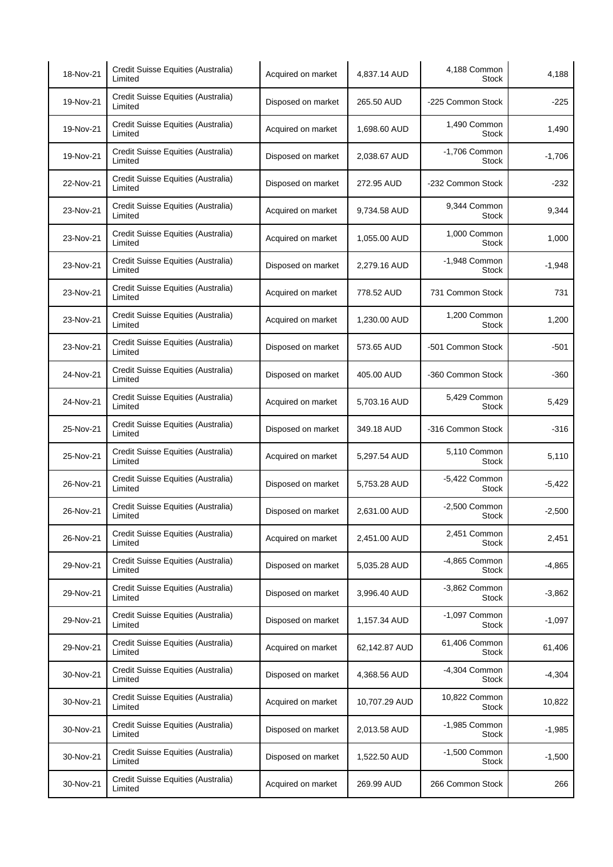| 18-Nov-21 | Credit Suisse Equities (Australia)<br>Limited | Acquired on market | 4,837.14 AUD  | 4,188 Common<br><b>Stock</b>    | 4,188    |
|-----------|-----------------------------------------------|--------------------|---------------|---------------------------------|----------|
| 19-Nov-21 | Credit Suisse Equities (Australia)<br>Limited | Disposed on market | 265.50 AUD    | -225 Common Stock               | $-225$   |
| 19-Nov-21 | Credit Suisse Equities (Australia)<br>Limited | Acquired on market | 1,698.60 AUD  | 1,490 Common<br><b>Stock</b>    | 1,490    |
| 19-Nov-21 | Credit Suisse Equities (Australia)<br>Limited | Disposed on market | 2,038.67 AUD  | -1,706 Common<br><b>Stock</b>   | $-1,706$ |
| 22-Nov-21 | Credit Suisse Equities (Australia)<br>Limited | Disposed on market | 272.95 AUD    | -232 Common Stock               | $-232$   |
| 23-Nov-21 | Credit Suisse Equities (Australia)<br>Limited | Acquired on market | 9,734.58 AUD  | 9,344 Common<br>Stock           | 9,344    |
| 23-Nov-21 | Credit Suisse Equities (Australia)<br>Limited | Acquired on market | 1,055.00 AUD  | 1,000 Common<br><b>Stock</b>    | 1,000    |
| 23-Nov-21 | Credit Suisse Equities (Australia)<br>Limited | Disposed on market | 2,279.16 AUD  | -1,948 Common<br><b>Stock</b>   | $-1,948$ |
| 23-Nov-21 | Credit Suisse Equities (Australia)<br>Limited | Acquired on market | 778.52 AUD    | 731 Common Stock                | 731      |
| 23-Nov-21 | Credit Suisse Equities (Australia)<br>Limited | Acquired on market | 1,230.00 AUD  | 1,200 Common<br><b>Stock</b>    | 1,200    |
| 23-Nov-21 | Credit Suisse Equities (Australia)<br>Limited | Disposed on market | 573.65 AUD    | -501 Common Stock               | $-501$   |
| 24-Nov-21 | Credit Suisse Equities (Australia)<br>Limited | Disposed on market | 405.00 AUD    | -360 Common Stock               | $-360$   |
| 24-Nov-21 | Credit Suisse Equities (Australia)<br>Limited | Acquired on market | 5,703.16 AUD  | 5,429 Common<br><b>Stock</b>    | 5,429    |
| 25-Nov-21 | Credit Suisse Equities (Australia)<br>Limited | Disposed on market | 349.18 AUD    | -316 Common Stock               | $-316$   |
| 25-Nov-21 | Credit Suisse Equities (Australia)<br>Limited | Acquired on market | 5,297.54 AUD  | 5,110 Common<br><b>Stock</b>    | 5,110    |
| 26-Nov-21 | Credit Suisse Equities (Australia)<br>Limited | Disposed on market | 5,753.28 AUD  | $-5,422$ Common<br><b>Stock</b> | $-5,422$ |
| 26-Nov-21 | Credit Suisse Equities (Australia)<br>Limited | Disposed on market | 2,631.00 AUD  | $-2,500$ Common<br><b>Stock</b> | $-2,500$ |
| 26-Nov-21 | Credit Suisse Equities (Australia)<br>Limited | Acquired on market | 2,451.00 AUD  | 2,451 Common<br><b>Stock</b>    | 2,451    |
| 29-Nov-21 | Credit Suisse Equities (Australia)<br>Limited | Disposed on market | 5,035.28 AUD  | -4,865 Common<br><b>Stock</b>   | $-4,865$ |
| 29-Nov-21 | Credit Suisse Equities (Australia)<br>Limited | Disposed on market | 3,996.40 AUD  | -3,862 Common<br><b>Stock</b>   | $-3,862$ |
| 29-Nov-21 | Credit Suisse Equities (Australia)<br>Limited | Disposed on market | 1,157.34 AUD  | -1,097 Common<br><b>Stock</b>   | $-1,097$ |
| 29-Nov-21 | Credit Suisse Equities (Australia)<br>Limited | Acquired on market | 62,142.87 AUD | 61,406 Common<br>Stock          | 61,406   |
| 30-Nov-21 | Credit Suisse Equities (Australia)<br>Limited | Disposed on market | 4,368.56 AUD  | -4,304 Common<br>Stock          | $-4,304$ |
| 30-Nov-21 | Credit Suisse Equities (Australia)<br>Limited | Acquired on market | 10,707.29 AUD | 10,822 Common<br><b>Stock</b>   | 10,822   |
| 30-Nov-21 | Credit Suisse Equities (Australia)<br>Limited | Disposed on market | 2,013.58 AUD  | -1,985 Common<br>Stock          | $-1,985$ |
| 30-Nov-21 | Credit Suisse Equities (Australia)<br>Limited | Disposed on market | 1,522.50 AUD  | -1,500 Common<br><b>Stock</b>   | $-1,500$ |
| 30-Nov-21 | Credit Suisse Equities (Australia)<br>Limited | Acquired on market | 269.99 AUD    | 266 Common Stock                | 266      |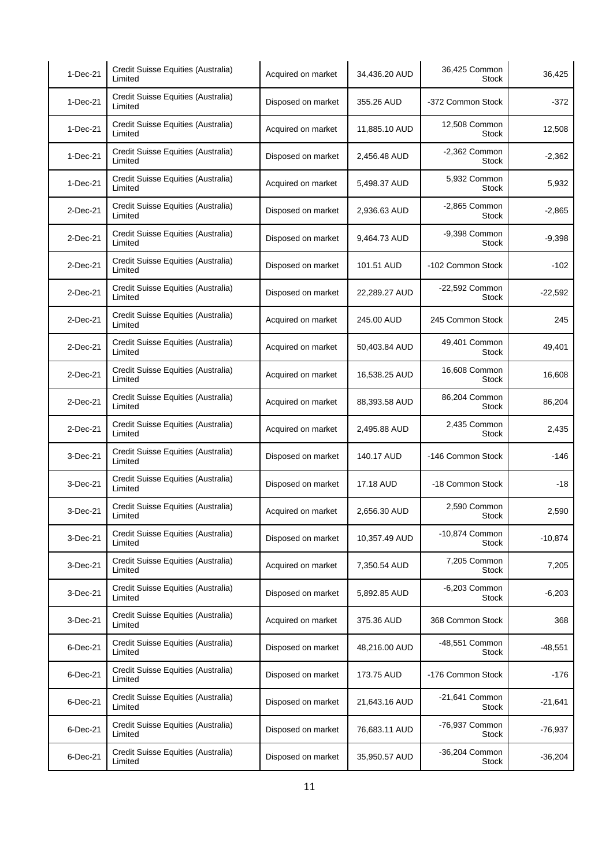| $1-Dec-21$ | Credit Suisse Equities (Australia)<br>Limited | Acquired on market | 34,436.20 AUD | 36,425 Common<br>Stock          | 36,425    |
|------------|-----------------------------------------------|--------------------|---------------|---------------------------------|-----------|
| 1-Dec-21   | Credit Suisse Equities (Australia)<br>Limited | Disposed on market | 355.26 AUD    | -372 Common Stock               | -372      |
| 1-Dec-21   | Credit Suisse Equities (Australia)<br>Limited | Acquired on market | 11,885.10 AUD | 12,508 Common<br><b>Stock</b>   | 12,508    |
| 1-Dec-21   | Credit Suisse Equities (Australia)<br>Limited | Disposed on market | 2,456.48 AUD  | -2,362 Common<br>Stock          | $-2,362$  |
| 1-Dec-21   | Credit Suisse Equities (Australia)<br>Limited | Acquired on market | 5,498.37 AUD  | 5,932 Common<br>Stock           | 5,932     |
| 2-Dec-21   | Credit Suisse Equities (Australia)<br>Limited | Disposed on market | 2.936.63 AUD  | -2,865 Common<br>Stock          | $-2,865$  |
| 2-Dec-21   | Credit Suisse Equities (Australia)<br>Limited | Disposed on market | 9,464.73 AUD  | -9,398 Common<br><b>Stock</b>   | $-9,398$  |
| 2-Dec-21   | Credit Suisse Equities (Australia)<br>Limited | Disposed on market | 101.51 AUD    | -102 Common Stock               | -102      |
| 2-Dec-21   | Credit Suisse Equities (Australia)<br>Limited | Disposed on market | 22,289.27 AUD | -22,592 Common<br><b>Stock</b>  | $-22,592$ |
| 2-Dec-21   | Credit Suisse Equities (Australia)<br>Limited | Acquired on market | 245.00 AUD    | 245 Common Stock                | 245       |
| 2-Dec-21   | Credit Suisse Equities (Australia)<br>Limited | Acquired on market | 50,403.84 AUD | 49,401 Common<br><b>Stock</b>   | 49,401    |
| 2-Dec-21   | Credit Suisse Equities (Australia)<br>Limited | Acquired on market | 16,538.25 AUD | 16,608 Common<br><b>Stock</b>   | 16,608    |
| 2-Dec-21   | Credit Suisse Equities (Australia)<br>Limited | Acquired on market | 88,393.58 AUD | 86,204 Common<br><b>Stock</b>   | 86,204    |
| 2-Dec-21   | Credit Suisse Equities (Australia)<br>Limited | Acquired on market | 2,495.88 AUD  | 2,435 Common<br>Stock           | 2,435     |
| 3-Dec-21   | Credit Suisse Equities (Australia)<br>Limited | Disposed on market | 140.17 AUD    | -146 Common Stock               | -146      |
| 3-Dec-21   | Credit Suisse Equities (Australia)<br>Limited | Disposed on market | 17.18 AUD     | -18 Common Stock                | -18       |
| 3-Dec-21   | Credit Suisse Equities (Australia)<br>Limited | Acquired on market | 2,656.30 AUD  | 2,590 Common<br>Stock           | 2,590     |
| 3-Dec-21   | Credit Suisse Equities (Australia)<br>Limited | Disposed on market | 10,357.49 AUD | -10,874 Common<br>Stock         | $-10,874$ |
| 3-Dec-21   | Credit Suisse Equities (Australia)<br>Limited | Acquired on market | 7,350.54 AUD  | 7,205 Common<br><b>Stock</b>    | 7,205     |
| 3-Dec-21   | Credit Suisse Equities (Australia)<br>Limited | Disposed on market | 5,892.85 AUD  | $-6,203$ Common<br><b>Stock</b> | $-6,203$  |
| 3-Dec-21   | Credit Suisse Equities (Australia)<br>Limited | Acquired on market | 375.36 AUD    | 368 Common Stock                | 368       |
| 6-Dec-21   | Credit Suisse Equities (Australia)<br>Limited | Disposed on market | 48,216.00 AUD | -48,551 Common<br>Stock         | $-48,551$ |
| 6-Dec-21   | Credit Suisse Equities (Australia)<br>Limited | Disposed on market | 173.75 AUD    | -176 Common Stock               | -176      |
| 6-Dec-21   | Credit Suisse Equities (Australia)<br>Limited | Disposed on market | 21,643.16 AUD | -21,641 Common<br>Stock         | $-21,641$ |
| 6-Dec-21   | Credit Suisse Equities (Australia)<br>Limited | Disposed on market | 76,683.11 AUD | -76,937 Common<br>Stock         | $-76,937$ |
| 6-Dec-21   | Credit Suisse Equities (Australia)<br>Limited | Disposed on market | 35,950.57 AUD | -36,204 Common<br><b>Stock</b>  | $-36,204$ |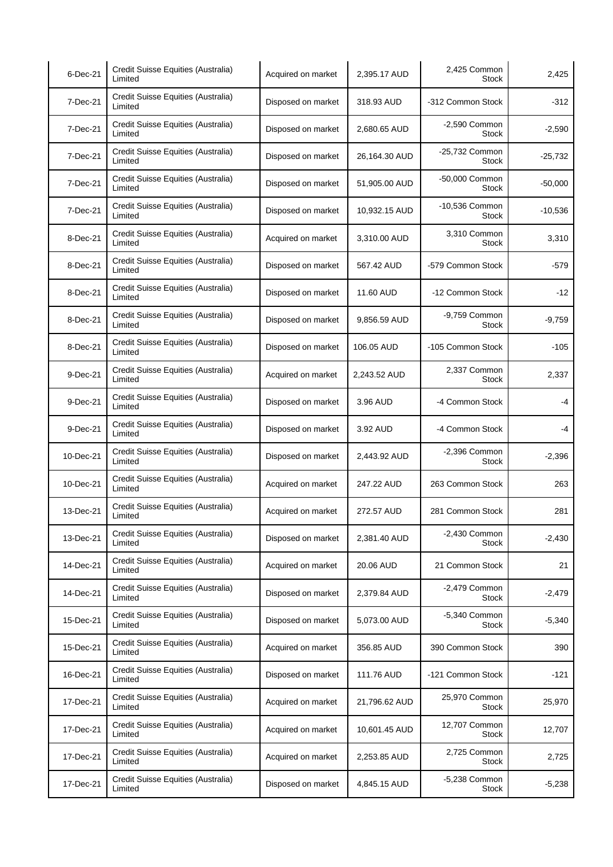| 6-Dec-21  | Credit Suisse Equities (Australia)<br>Limited | Acquired on market | 2,395.17 AUD  | 2,425 Common<br><b>Stock</b>    | 2,425     |
|-----------|-----------------------------------------------|--------------------|---------------|---------------------------------|-----------|
| 7-Dec-21  | Credit Suisse Equities (Australia)<br>Limited | Disposed on market | 318.93 AUD    | -312 Common Stock               | $-312$    |
| 7-Dec-21  | Credit Suisse Equities (Australia)<br>Limited | Disposed on market | 2,680.65 AUD  | $-2,590$ Common<br><b>Stock</b> | $-2,590$  |
| 7-Dec-21  | Credit Suisse Equities (Australia)<br>Limited | Disposed on market | 26,164.30 AUD | -25,732 Common<br><b>Stock</b>  | $-25,732$ |
| 7-Dec-21  | Credit Suisse Equities (Australia)<br>Limited | Disposed on market | 51,905.00 AUD | -50,000 Common<br>Stock         | $-50,000$ |
| 7-Dec-21  | Credit Suisse Equities (Australia)<br>Limited | Disposed on market | 10,932.15 AUD | -10,536 Common<br>Stock         | $-10,536$ |
| 8-Dec-21  | Credit Suisse Equities (Australia)<br>Limited | Acquired on market | 3,310.00 AUD  | 3,310 Common<br><b>Stock</b>    | 3,310     |
| 8-Dec-21  | Credit Suisse Equities (Australia)<br>Limited | Disposed on market | 567.42 AUD    | -579 Common Stock               | $-579$    |
| 8-Dec-21  | Credit Suisse Equities (Australia)<br>Limited | Disposed on market | 11.60 AUD     | -12 Common Stock                | $-12$     |
| 8-Dec-21  | Credit Suisse Equities (Australia)<br>Limited | Disposed on market | 9,856.59 AUD  | -9,759 Common<br><b>Stock</b>   | $-9,759$  |
| 8-Dec-21  | Credit Suisse Equities (Australia)<br>Limited | Disposed on market | 106.05 AUD    | -105 Common Stock               | $-105$    |
| 9-Dec-21  | Credit Suisse Equities (Australia)<br>Limited | Acquired on market | 2,243.52 AUD  | 2,337 Common<br><b>Stock</b>    | 2,337     |
| 9-Dec-21  | Credit Suisse Equities (Australia)<br>Limited | Disposed on market | 3.96 AUD      | -4 Common Stock                 | -4        |
| 9-Dec-21  | Credit Suisse Equities (Australia)<br>Limited | Disposed on market | 3.92 AUD      | -4 Common Stock                 | -4        |
| 10-Dec-21 | Credit Suisse Equities (Australia)<br>Limited | Disposed on market | 2,443.92 AUD  | $-2,396$ Common<br>Stock        | $-2,396$  |
| 10-Dec-21 | Credit Suisse Equities (Australia)<br>Limited | Acquired on market | 247.22 AUD    | 263 Common Stock                | 263       |
| 13-Dec-21 | Credit Suisse Equities (Australia)<br>Limited | Acquired on market | 272.57 AUD    | 281 Common Stock                | 281       |
| 13-Dec-21 | Credit Suisse Equities (Australia)<br>Limited | Disposed on market | 2,381.40 AUD  | $-2,430$ Common<br><b>Stock</b> | $-2,430$  |
| 14-Dec-21 | Credit Suisse Equities (Australia)<br>Limited | Acquired on market | 20.06 AUD     | 21 Common Stock                 | 21        |
| 14-Dec-21 | Credit Suisse Equities (Australia)<br>Limited | Disposed on market | 2,379.84 AUD  | $-2,479$ Common<br><b>Stock</b> | $-2,479$  |
| 15-Dec-21 | Credit Suisse Equities (Australia)<br>Limited | Disposed on market | 5,073.00 AUD  | -5,340 Common<br><b>Stock</b>   | $-5,340$  |
| 15-Dec-21 | Credit Suisse Equities (Australia)<br>Limited | Acquired on market | 356.85 AUD    | 390 Common Stock                | 390       |
| 16-Dec-21 | Credit Suisse Equities (Australia)<br>Limited | Disposed on market | 111.76 AUD    | -121 Common Stock               | $-121$    |
| 17-Dec-21 | Credit Suisse Equities (Australia)<br>Limited | Acquired on market | 21,796.62 AUD | 25,970 Common<br><b>Stock</b>   | 25,970    |
| 17-Dec-21 | Credit Suisse Equities (Australia)<br>Limited | Acquired on market | 10,601.45 AUD | 12,707 Common<br>Stock          | 12,707    |
| 17-Dec-21 | Credit Suisse Equities (Australia)<br>Limited | Acquired on market | 2,253.85 AUD  | 2,725 Common<br>Stock           | 2,725     |
| 17-Dec-21 | Credit Suisse Equities (Australia)<br>Limited | Disposed on market | 4,845.15 AUD  | -5,238 Common<br>Stock          | $-5,238$  |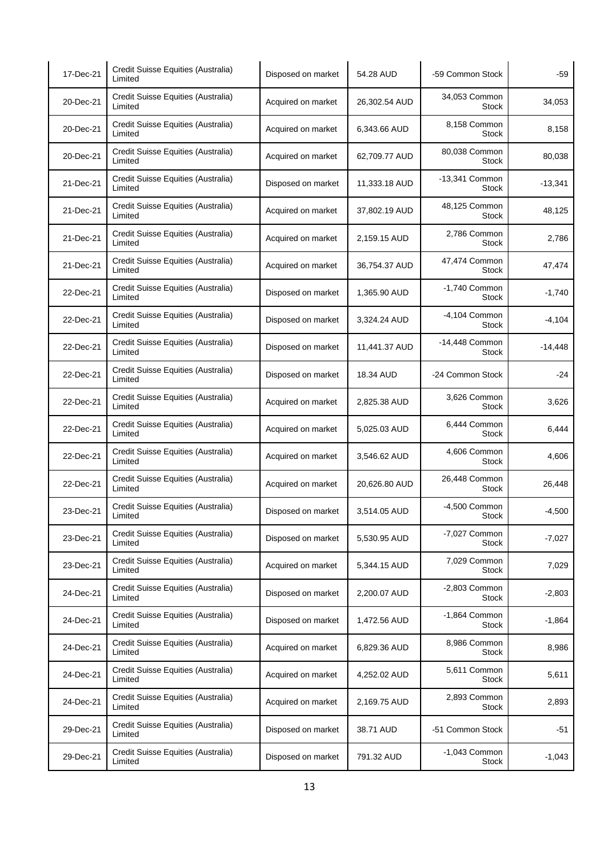| 17-Dec-21 | Credit Suisse Equities (Australia)<br>Limited | Disposed on market | 54.28 AUD     | -59 Common Stock                | -59       |
|-----------|-----------------------------------------------|--------------------|---------------|---------------------------------|-----------|
| 20-Dec-21 | Credit Suisse Equities (Australia)<br>Limited | Acquired on market | 26,302.54 AUD | 34,053 Common<br><b>Stock</b>   | 34,053    |
| 20-Dec-21 | Credit Suisse Equities (Australia)<br>Limited | Acquired on market | 6,343.66 AUD  | 8,158 Common<br><b>Stock</b>    | 8,158     |
| 20-Dec-21 | Credit Suisse Equities (Australia)<br>Limited | Acquired on market | 62,709.77 AUD | 80,038 Common<br>Stock          | 80,038    |
| 21-Dec-21 | Credit Suisse Equities (Australia)<br>Limited | Disposed on market | 11,333.18 AUD | -13,341 Common<br><b>Stock</b>  | $-13,341$ |
| 21-Dec-21 | Credit Suisse Equities (Australia)<br>Limited | Acquired on market | 37,802.19 AUD | 48,125 Common<br>Stock          | 48,125    |
| 21-Dec-21 | Credit Suisse Equities (Australia)<br>Limited | Acquired on market | 2,159.15 AUD  | 2,786 Common<br><b>Stock</b>    | 2,786     |
| 21-Dec-21 | Credit Suisse Equities (Australia)<br>Limited | Acquired on market | 36,754.37 AUD | 47,474 Common<br><b>Stock</b>   | 47,474    |
| 22-Dec-21 | Credit Suisse Equities (Australia)<br>Limited | Disposed on market | 1,365.90 AUD  | -1,740 Common<br>Stock          | $-1,740$  |
| 22-Dec-21 | Credit Suisse Equities (Australia)<br>Limited | Disposed on market | 3,324.24 AUD  | -4,104 Common<br><b>Stock</b>   | $-4,104$  |
| 22-Dec-21 | Credit Suisse Equities (Australia)<br>Limited | Disposed on market | 11,441.37 AUD | -14,448 Common<br><b>Stock</b>  | $-14,448$ |
| 22-Dec-21 | Credit Suisse Equities (Australia)<br>Limited | Disposed on market | 18.34 AUD     | -24 Common Stock                | $-24$     |
| 22-Dec-21 | Credit Suisse Equities (Australia)<br>Limited | Acquired on market | 2,825.38 AUD  | 3,626 Common<br><b>Stock</b>    | 3,626     |
| 22-Dec-21 | Credit Suisse Equities (Australia)<br>Limited | Acquired on market | 5,025.03 AUD  | 6,444 Common<br>Stock           | 6,444     |
| 22-Dec-21 | Credit Suisse Equities (Australia)<br>Limited | Acquired on market | 3,546.62 AUD  | 4,606 Common<br>Stock           | 4,606     |
| 22-Dec-21 | Credit Suisse Equities (Australia)<br>Limited | Acquired on market | 20,626.80 AUD | 26,448 Common<br><b>Stock</b>   | 26,448    |
| 23-Dec-21 | Credit Suisse Equities (Australia)<br>Limited | Disposed on market | 3.514.05 AUD  | -4,500 Common<br>Stock          | $-4,500$  |
| 23-Dec-21 | Credit Suisse Equities (Australia)<br>Limited | Disposed on market | 5,530.95 AUD  | -7,027 Common<br>Stock          | $-7,027$  |
| 23-Dec-21 | Credit Suisse Equities (Australia)<br>Limited | Acquired on market | 5,344.15 AUD  | 7,029 Common<br><b>Stock</b>    | 7,029     |
| 24-Dec-21 | Credit Suisse Equities (Australia)<br>Limited | Disposed on market | 2,200.07 AUD  | $-2,803$ Common<br><b>Stock</b> | $-2,803$  |
| 24-Dec-21 | Credit Suisse Equities (Australia)<br>Limited | Disposed on market | 1,472.56 AUD  | -1,864 Common<br>Stock          | $-1,864$  |
| 24-Dec-21 | Credit Suisse Equities (Australia)<br>Limited | Acquired on market | 6,829.36 AUD  | 8,986 Common<br><b>Stock</b>    | 8,986     |
| 24-Dec-21 | Credit Suisse Equities (Australia)<br>Limited | Acquired on market | 4,252.02 AUD  | 5,611 Common<br>Stock           | 5,611     |
| 24-Dec-21 | Credit Suisse Equities (Australia)<br>Limited | Acquired on market | 2,169.75 AUD  | 2,893 Common<br><b>Stock</b>    | 2,893     |
| 29-Dec-21 | Credit Suisse Equities (Australia)<br>Limited | Disposed on market | 38.71 AUD     | -51 Common Stock                | $-51$     |
| 29-Dec-21 | Credit Suisse Equities (Australia)<br>Limited | Disposed on market | 791.32 AUD    | -1,043 Common<br><b>Stock</b>   | $-1,043$  |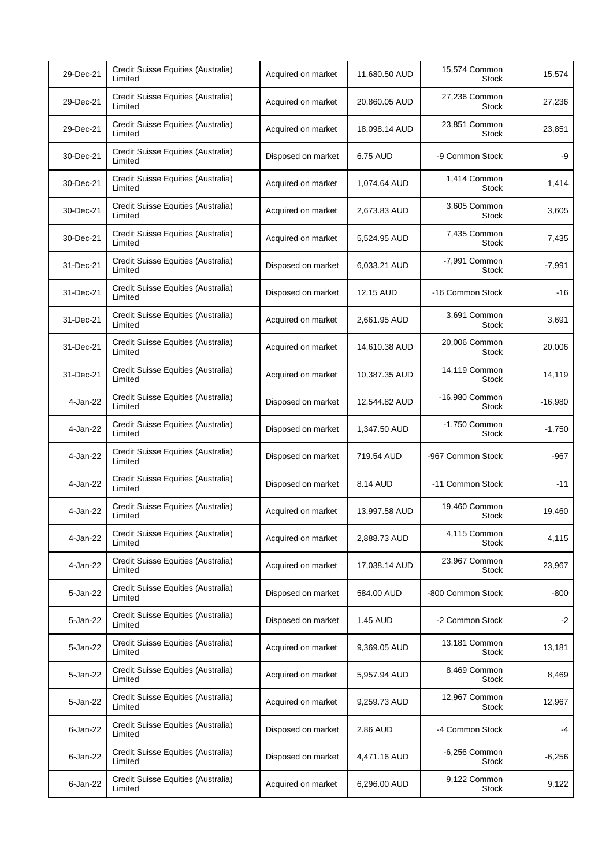| 29-Dec-21 | Credit Suisse Equities (Australia)<br>Limited | Acquired on market | 11,680.50 AUD | 15,574 Common<br>Stock         | 15,574    |
|-----------|-----------------------------------------------|--------------------|---------------|--------------------------------|-----------|
| 29-Dec-21 | Credit Suisse Equities (Australia)<br>Limited | Acquired on market | 20,860.05 AUD | 27,236 Common<br><b>Stock</b>  | 27,236    |
| 29-Dec-21 | Credit Suisse Equities (Australia)<br>Limited | Acquired on market | 18,098.14 AUD | 23,851 Common<br><b>Stock</b>  | 23,851    |
| 30-Dec-21 | Credit Suisse Equities (Australia)<br>Limited | Disposed on market | 6.75 AUD      | -9 Common Stock                | -9        |
| 30-Dec-21 | Credit Suisse Equities (Australia)<br>Limited | Acquired on market | 1,074.64 AUD  | 1,414 Common<br><b>Stock</b>   | 1,414     |
| 30-Dec-21 | Credit Suisse Equities (Australia)<br>Limited | Acquired on market | 2,673.83 AUD  | 3,605 Common<br>Stock          | 3,605     |
| 30-Dec-21 | Credit Suisse Equities (Australia)<br>Limited | Acquired on market | 5,524.95 AUD  | 7,435 Common<br><b>Stock</b>   | 7,435     |
| 31-Dec-21 | Credit Suisse Equities (Australia)<br>Limited | Disposed on market | 6,033.21 AUD  | -7,991 Common<br><b>Stock</b>  | $-7,991$  |
| 31-Dec-21 | Credit Suisse Equities (Australia)<br>Limited | Disposed on market | 12.15 AUD     | -16 Common Stock               | $-16$     |
| 31-Dec-21 | Credit Suisse Equities (Australia)<br>Limited | Acquired on market | 2,661.95 AUD  | 3,691 Common<br><b>Stock</b>   | 3,691     |
| 31-Dec-21 | Credit Suisse Equities (Australia)<br>Limited | Acquired on market | 14,610.38 AUD | 20,006 Common<br><b>Stock</b>  | 20,006    |
| 31-Dec-21 | Credit Suisse Equities (Australia)<br>Limited | Acquired on market | 10,387.35 AUD | 14,119 Common<br><b>Stock</b>  | 14,119    |
| 4-Jan-22  | Credit Suisse Equities (Australia)<br>Limited | Disposed on market | 12,544.82 AUD | -16,980 Common<br><b>Stock</b> | $-16,980$ |
| 4-Jan-22  | Credit Suisse Equities (Australia)<br>Limited | Disposed on market | 1,347.50 AUD  | -1,750 Common<br><b>Stock</b>  | $-1,750$  |
| 4-Jan-22  | Credit Suisse Equities (Australia)<br>Limited | Disposed on market | 719.54 AUD    | -967 Common Stock              | $-967$    |
| 4-Jan-22  | Credit Suisse Equities (Australia)<br>Limited | Disposed on market | 8.14 AUD      | -11 Common Stock               | -11       |
| 4-Jan-22  | Credit Suisse Equities (Australia)<br>Limited | Acquired on market | 13,997.58 AUD | 19,460 Common<br><b>Stock</b>  | 19,460    |
| 4-Jan-22  | Credit Suisse Equities (Australia)<br>Limited | Acquired on market | 2,888.73 AUD  | 4,115 Common<br>Stock          | 4,115     |
| 4-Jan-22  | Credit Suisse Equities (Australia)<br>Limited | Acquired on market | 17,038.14 AUD | 23,967 Common<br><b>Stock</b>  | 23,967    |
| 5-Jan-22  | Credit Suisse Equities (Australia)<br>Limited | Disposed on market | 584.00 AUD    | -800 Common Stock              | $-800$    |
| 5-Jan-22  | Credit Suisse Equities (Australia)<br>Limited | Disposed on market | 1.45 AUD      | -2 Common Stock                | $-2$      |
| 5-Jan-22  | Credit Suisse Equities (Australia)<br>Limited | Acquired on market | 9,369.05 AUD  | 13,181 Common<br>Stock         | 13,181    |
| 5-Jan-22  | Credit Suisse Equities (Australia)<br>Limited | Acquired on market | 5,957.94 AUD  | 8,469 Common<br>Stock          | 8,469     |
| 5-Jan-22  | Credit Suisse Equities (Australia)<br>Limited | Acquired on market | 9,259.73 AUD  | 12,967 Common<br><b>Stock</b>  | 12,967    |
| 6-Jan-22  | Credit Suisse Equities (Australia)<br>Limited | Disposed on market | 2.86 AUD      | -4 Common Stock                | -4        |
| 6-Jan-22  | Credit Suisse Equities (Australia)<br>Limited | Disposed on market | 4,471.16 AUD  | -6,256 Common<br>Stock         | $-6,256$  |
| 6-Jan-22  | Credit Suisse Equities (Australia)<br>Limited | Acquired on market | 6,296.00 AUD  | 9,122 Common<br>Stock          | 9,122     |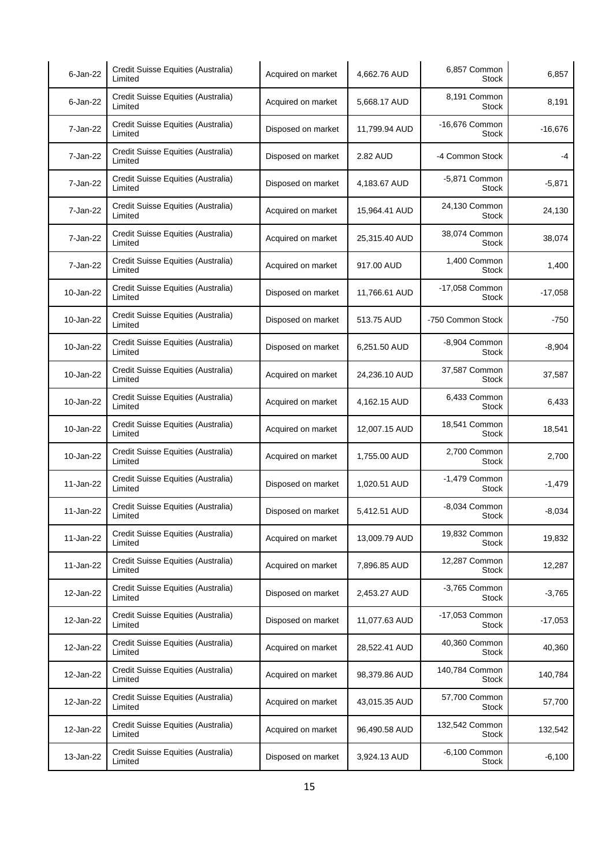| $6$ -Jan-22 | Credit Suisse Equities (Australia)<br>Limited | Acquired on market | 4,662.76 AUD  | 6,857 Common<br><b>Stock</b>   | 6,857     |
|-------------|-----------------------------------------------|--------------------|---------------|--------------------------------|-----------|
| $6$ -Jan-22 | Credit Suisse Equities (Australia)<br>Limited | Acquired on market | 5,668.17 AUD  | 8,191 Common<br><b>Stock</b>   | 8,191     |
| 7-Jan-22    | Credit Suisse Equities (Australia)<br>Limited | Disposed on market | 11,799.94 AUD | -16,676 Common<br><b>Stock</b> | $-16,676$ |
| 7-Jan-22    | Credit Suisse Equities (Australia)<br>Limited | Disposed on market | 2.82 AUD      | -4 Common Stock                | -4        |
| 7-Jan-22    | Credit Suisse Equities (Australia)<br>Limited | Disposed on market | 4,183.67 AUD  | -5,871 Common<br><b>Stock</b>  | $-5,871$  |
| 7-Jan-22    | Credit Suisse Equities (Australia)<br>Limited | Acquired on market | 15,964.41 AUD | 24,130 Common<br>Stock         | 24,130    |
| 7-Jan-22    | Credit Suisse Equities (Australia)<br>Limited | Acquired on market | 25,315.40 AUD | 38,074 Common<br><b>Stock</b>  | 38,074    |
| 7-Jan-22    | Credit Suisse Equities (Australia)<br>Limited | Acquired on market | 917.00 AUD    | 1,400 Common<br><b>Stock</b>   | 1,400     |
| 10-Jan-22   | Credit Suisse Equities (Australia)<br>Limited | Disposed on market | 11,766.61 AUD | -17,058 Common<br>Stock        | $-17,058$ |
| 10-Jan-22   | Credit Suisse Equities (Australia)<br>Limited | Disposed on market | 513.75 AUD    | -750 Common Stock              | $-750$    |
| 10-Jan-22   | Credit Suisse Equities (Australia)<br>Limited | Disposed on market | 6,251.50 AUD  | -8,904 Common<br><b>Stock</b>  | $-8,904$  |
| 10-Jan-22   | Credit Suisse Equities (Australia)<br>Limited | Acquired on market | 24,236.10 AUD | 37,587 Common<br>Stock         | 37,587    |
| 10-Jan-22   | Credit Suisse Equities (Australia)<br>Limited | Acquired on market | 4,162.15 AUD  | 6,433 Common<br><b>Stock</b>   | 6,433     |
| 10-Jan-22   | Credit Suisse Equities (Australia)<br>Limited | Acquired on market | 12,007.15 AUD | 18,541 Common<br>Stock         | 18,541    |
| 10-Jan-22   | Credit Suisse Equities (Australia)<br>Limited | Acquired on market | 1,755.00 AUD  | 2,700 Common<br>Stock          | 2,700     |
| 11-Jan-22   | Credit Suisse Equities (Australia)<br>Limited | Disposed on market | 1,020.51 AUD  | -1,479 Common<br><b>Stock</b>  | $-1,479$  |
| 11-Jan-22   | Credit Suisse Equities (Australia)<br>Limited | Disposed on market | 5,412.51 AUD  | -8,034 Common<br>Stock         | $-8,034$  |
| 11-Jan-22   | Credit Suisse Equities (Australia)<br>Limited | Acquired on market | 13,009.79 AUD | 19,832 Common<br><b>Stock</b>  | 19,832    |
| 11-Jan-22   | Credit Suisse Equities (Australia)<br>Limited | Acquired on market | 7,896.85 AUD  | 12,287 Common<br><b>Stock</b>  | 12,287    |
| 12-Jan-22   | Credit Suisse Equities (Australia)<br>Limited | Disposed on market | 2,453.27 AUD  | -3,765 Common<br><b>Stock</b>  | $-3,765$  |
| 12-Jan-22   | Credit Suisse Equities (Australia)<br>Limited | Disposed on market | 11,077.63 AUD | -17,053 Common<br>Stock        | $-17,053$ |
| 12-Jan-22   | Credit Suisse Equities (Australia)<br>Limited | Acquired on market | 28,522.41 AUD | 40,360 Common<br><b>Stock</b>  | 40,360    |
| 12-Jan-22   | Credit Suisse Equities (Australia)<br>Limited | Acquired on market | 98,379.86 AUD | 140,784 Common<br>Stock        | 140,784   |
| 12-Jan-22   | Credit Suisse Equities (Australia)<br>Limited | Acquired on market | 43,015.35 AUD | 57,700 Common<br>Stock         | 57,700    |
| 12-Jan-22   | Credit Suisse Equities (Australia)<br>Limited | Acquired on market | 96,490.58 AUD | 132,542 Common<br>Stock        | 132,542   |
| 13-Jan-22   | Credit Suisse Equities (Australia)<br>Limited | Disposed on market | 3,924.13 AUD  | $-6,100$ Common<br>Stock       | $-6,100$  |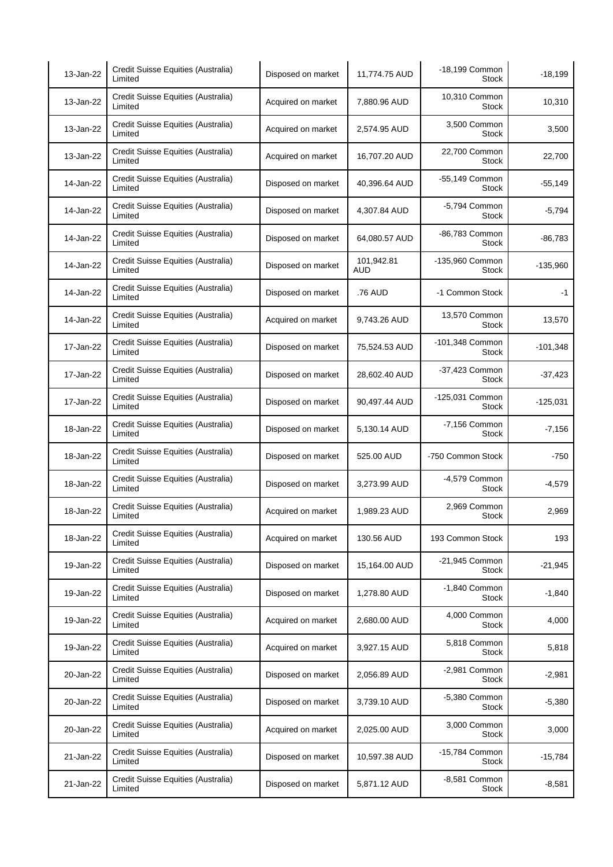| 13-Jan-22 | Credit Suisse Equities (Australia)<br>Limited | Disposed on market | 11,774.75 AUD            | -18,199 Common<br>Stock         | $-18,199$  |
|-----------|-----------------------------------------------|--------------------|--------------------------|---------------------------------|------------|
| 13-Jan-22 | Credit Suisse Equities (Australia)<br>Limited | Acquired on market | 7,880.96 AUD             | 10,310 Common<br><b>Stock</b>   | 10,310     |
| 13-Jan-22 | Credit Suisse Equities (Australia)<br>Limited | Acquired on market | 2,574.95 AUD             | 3,500 Common<br><b>Stock</b>    | 3,500      |
| 13-Jan-22 | Credit Suisse Equities (Australia)<br>Limited | Acquired on market | 16,707.20 AUD            | 22,700 Common<br>Stock          | 22,700     |
| 14-Jan-22 | Credit Suisse Equities (Australia)<br>Limited | Disposed on market | 40,396.64 AUD            | -55,149 Common<br>Stock         | $-55,149$  |
| 14-Jan-22 | Credit Suisse Equities (Australia)<br>Limited | Disposed on market | 4,307.84 AUD             | -5,794 Common<br>Stock          | $-5,794$   |
| 14-Jan-22 | Credit Suisse Equities (Australia)<br>Limited | Disposed on market | 64,080.57 AUD            | -86,783 Common<br><b>Stock</b>  | -86,783    |
| 14-Jan-22 | Credit Suisse Equities (Australia)<br>Limited | Disposed on market | 101,942.81<br><b>AUD</b> | -135,960 Common<br><b>Stock</b> | $-135,960$ |
| 14-Jan-22 | Credit Suisse Equities (Australia)<br>Limited | Disposed on market | .76 AUD                  | -1 Common Stock                 | $-1$       |
| 14-Jan-22 | Credit Suisse Equities (Australia)<br>Limited | Acquired on market | 9,743.26 AUD             | 13,570 Common<br>Stock          | 13,570     |
| 17-Jan-22 | Credit Suisse Equities (Australia)<br>Limited | Disposed on market | 75,524.53 AUD            | -101,348 Common<br><b>Stock</b> | $-101,348$ |
| 17-Jan-22 | Credit Suisse Equities (Australia)<br>Limited | Disposed on market | 28,602.40 AUD            | -37,423 Common<br><b>Stock</b>  | -37,423    |
| 17-Jan-22 | Credit Suisse Equities (Australia)<br>Limited | Disposed on market | 90,497.44 AUD            | -125,031 Common<br>Stock        | $-125,031$ |
| 18-Jan-22 | Credit Suisse Equities (Australia)<br>Limited | Disposed on market | 5,130.14 AUD             | -7,156 Common<br><b>Stock</b>   | $-7,156$   |
| 18-Jan-22 | Credit Suisse Equities (Australia)<br>Limited | Disposed on market | 525.00 AUD               | -750 Common Stock               | $-750$     |
| 18-Jan-22 | Credit Suisse Equities (Australia)<br>Limited | Disposed on market | 3,273.99 AUD             | -4,579 Common<br><b>Stock</b>   | $-4,579$   |
| 18-Jan-22 | Credit Suisse Equities (Australia)<br>Limited | Acquired on market | 1,989.23 AUD             | 2,969 Common<br><b>Stock</b>    | 2,969      |
| 18-Jan-22 | Credit Suisse Equities (Australia)<br>Limited | Acquired on market | 130.56 AUD               | 193 Common Stock                | 193        |
| 19-Jan-22 | Credit Suisse Equities (Australia)<br>Limited | Disposed on market | 15,164.00 AUD            | -21,945 Common<br><b>Stock</b>  | $-21,945$  |
| 19-Jan-22 | Credit Suisse Equities (Australia)<br>Limited | Disposed on market | 1,278.80 AUD             | -1,840 Common<br><b>Stock</b>   | $-1,840$   |
| 19-Jan-22 | Credit Suisse Equities (Australia)<br>Limited | Acquired on market | 2,680.00 AUD             | 4,000 Common<br><b>Stock</b>    | 4,000      |
| 19-Jan-22 | Credit Suisse Equities (Australia)<br>Limited | Acquired on market | 3,927.15 AUD             | 5,818 Common<br>Stock           | 5,818      |
| 20-Jan-22 | Credit Suisse Equities (Australia)<br>Limited | Disposed on market | 2,056.89 AUD             | -2,981 Common<br>Stock          | $-2,981$   |
| 20-Jan-22 | Credit Suisse Equities (Australia)<br>Limited | Disposed on market | 3,739.10 AUD             | -5,380 Common<br><b>Stock</b>   | $-5,380$   |
| 20-Jan-22 | Credit Suisse Equities (Australia)<br>Limited | Acquired on market | 2,025.00 AUD             | 3,000 Common<br>Stock           | 3,000      |
| 21-Jan-22 | Credit Suisse Equities (Australia)<br>Limited | Disposed on market | 10,597.38 AUD            | -15,784 Common<br><b>Stock</b>  | $-15,784$  |
| 21-Jan-22 | Credit Suisse Equities (Australia)<br>Limited | Disposed on market | 5,871.12 AUD             | -8,581 Common<br><b>Stock</b>   | $-8,581$   |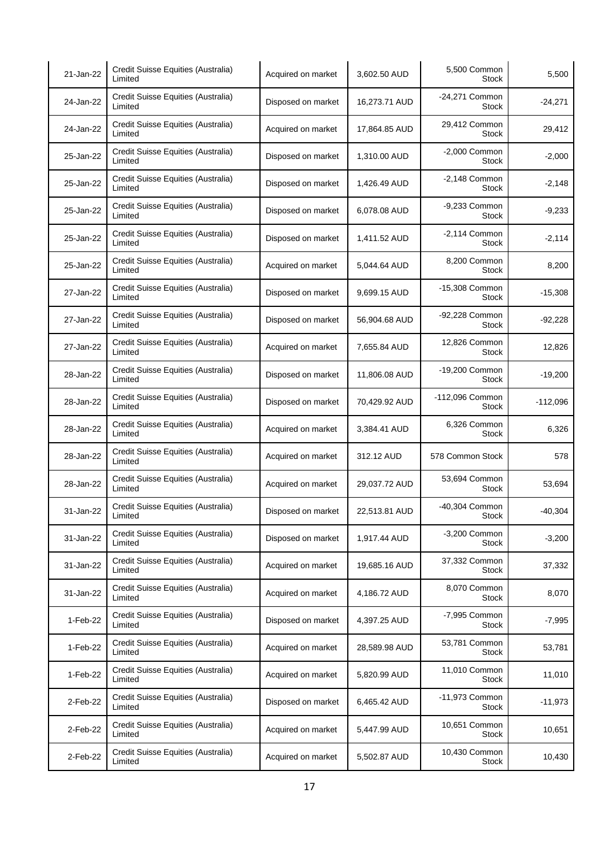| 21-Jan-22 | Credit Suisse Equities (Australia)<br>Limited | Acquired on market | 3,602.50 AUD  | 5,500 Common<br><b>Stock</b>    | 5,500      |
|-----------|-----------------------------------------------|--------------------|---------------|---------------------------------|------------|
| 24-Jan-22 | Credit Suisse Equities (Australia)<br>Limited | Disposed on market | 16,273.71 AUD | -24,271 Common<br><b>Stock</b>  | $-24,271$  |
| 24-Jan-22 | Credit Suisse Equities (Australia)<br>Limited | Acquired on market | 17,864.85 AUD | 29,412 Common<br><b>Stock</b>   | 29,412     |
| 25-Jan-22 | Credit Suisse Equities (Australia)<br>Limited | Disposed on market | 1,310.00 AUD  | $-2,000$ Common<br><b>Stock</b> | $-2,000$   |
| 25-Jan-22 | Credit Suisse Equities (Australia)<br>Limited | Disposed on market | 1,426.49 AUD  | $-2,148$ Common<br><b>Stock</b> | $-2,148$   |
| 25-Jan-22 | Credit Suisse Equities (Australia)<br>Limited | Disposed on market | 6,078.08 AUD  | -9,233 Common<br>Stock          | $-9,233$   |
| 25-Jan-22 | Credit Suisse Equities (Australia)<br>Limited | Disposed on market | 1,411.52 AUD  | $-2,114$ Common<br><b>Stock</b> | $-2,114$   |
| 25-Jan-22 | Credit Suisse Equities (Australia)<br>Limited | Acquired on market | 5,044.64 AUD  | 8,200 Common<br><b>Stock</b>    | 8,200      |
| 27-Jan-22 | Credit Suisse Equities (Australia)<br>Limited | Disposed on market | 9,699.15 AUD  | -15,308 Common<br>Stock         | $-15,308$  |
| 27-Jan-22 | Credit Suisse Equities (Australia)<br>Limited | Disposed on market | 56,904.68 AUD | -92,228 Common<br><b>Stock</b>  | $-92,228$  |
| 27-Jan-22 | Credit Suisse Equities (Australia)<br>Limited | Acquired on market | 7,655.84 AUD  | 12,826 Common<br><b>Stock</b>   | 12,826     |
| 28-Jan-22 | Credit Suisse Equities (Australia)<br>Limited | Disposed on market | 11,806.08 AUD | -19,200 Common<br><b>Stock</b>  | $-19,200$  |
| 28-Jan-22 | Credit Suisse Equities (Australia)<br>Limited | Disposed on market | 70,429.92 AUD | -112,096 Common<br><b>Stock</b> | $-112,096$ |
|           | Credit Suisse Equities (Australia)            |                    |               | 6,326 Common                    |            |
| 28-Jan-22 | Limited                                       | Acquired on market | 3,384.41 AUD  | <b>Stock</b>                    | 6,326      |
| 28-Jan-22 | Credit Suisse Equities (Australia)<br>Limited | Acquired on market | 312.12 AUD    | 578 Common Stock                | 578        |
| 28-Jan-22 | Credit Suisse Equities (Australia)<br>Limited | Acquired on market | 29,037.72 AUD | 53,694 Common<br><b>Stock</b>   | 53,694     |
| 31-Jan-22 | Credit Suisse Equities (Australia)<br>Limited | Disposed on market | 22,513.81 AUD | -40,304 Common<br>Stock         | $-40,304$  |
| 31-Jan-22 | Credit Suisse Equities (Australia)<br>Limited | Disposed on market | 1,917.44 AUD  | $-3,200$ Common<br>Stock        | $-3,200$   |
| 31-Jan-22 | Credit Suisse Equities (Australia)<br>Limited | Acquired on market | 19,685.16 AUD | 37,332 Common<br><b>Stock</b>   | 37,332     |
| 31-Jan-22 | Credit Suisse Equities (Australia)<br>Limited | Acquired on market | 4,186.72 AUD  | 8,070 Common<br><b>Stock</b>    | 8,070      |
| 1-Feb-22  | Credit Suisse Equities (Australia)<br>Limited | Disposed on market | 4,397.25 AUD  | -7,995 Common<br>Stock          | $-7,995$   |
| 1-Feb-22  | Credit Suisse Equities (Australia)<br>Limited | Acquired on market | 28,589.98 AUD | 53,781 Common<br><b>Stock</b>   | 53,781     |
| 1-Feb-22  | Credit Suisse Equities (Australia)<br>Limited | Acquired on market | 5,820.99 AUD  | 11,010 Common<br>Stock          | 11,010     |
| 2-Feb-22  | Credit Suisse Equities (Australia)<br>Limited | Disposed on market | 6,465.42 AUD  | -11,973 Common<br><b>Stock</b>  | $-11,973$  |
| 2-Feb-22  | Credit Suisse Equities (Australia)<br>Limited | Acquired on market | 5,447.99 AUD  | 10,651 Common<br><b>Stock</b>   | 10,651     |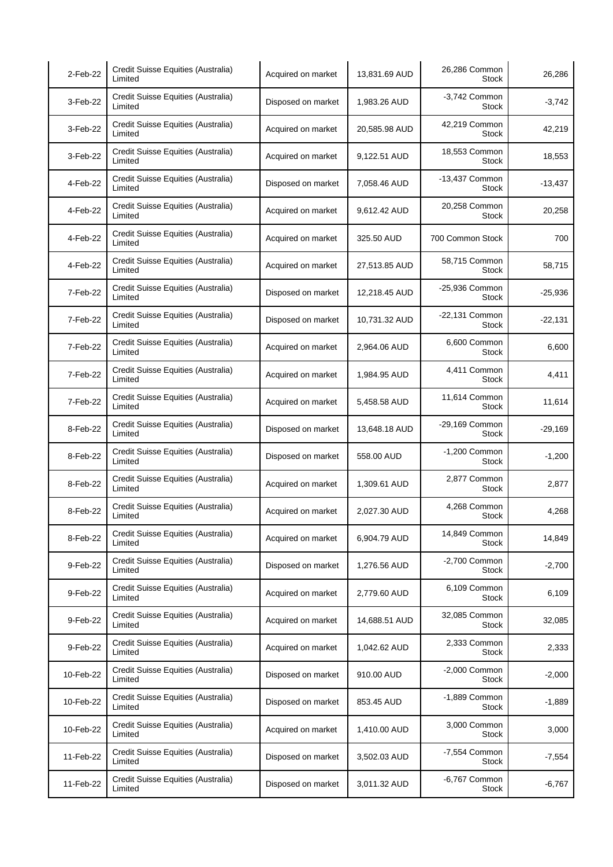| 2-Feb-22  | Credit Suisse Equities (Australia)<br>Limited | Acquired on market | 13,831.69 AUD | 26,286 Common<br><b>Stock</b>  | 26,286    |
|-----------|-----------------------------------------------|--------------------|---------------|--------------------------------|-----------|
| 3-Feb-22  | Credit Suisse Equities (Australia)<br>Limited | Disposed on market | 1,983.26 AUD  | -3,742 Common<br><b>Stock</b>  | $-3,742$  |
| 3-Feb-22  | Credit Suisse Equities (Australia)<br>Limited | Acquired on market | 20,585.98 AUD | 42,219 Common<br><b>Stock</b>  | 42,219    |
| 3-Feb-22  | Credit Suisse Equities (Australia)<br>Limited | Acquired on market | 9,122.51 AUD  | 18,553 Common<br>Stock         | 18,553    |
| 4-Feb-22  | Credit Suisse Equities (Australia)<br>Limited | Disposed on market | 7,058.46 AUD  | -13,437 Common<br>Stock        | $-13,437$ |
| 4-Feb-22  | Credit Suisse Equities (Australia)<br>Limited | Acquired on market | 9,612.42 AUD  | 20,258 Common<br>Stock         | 20,258    |
| 4-Feb-22  | Credit Suisse Equities (Australia)<br>Limited | Acquired on market | 325.50 AUD    | 700 Common Stock               | 700       |
| 4-Feb-22  | Credit Suisse Equities (Australia)<br>Limited | Acquired on market | 27,513.85 AUD | 58,715 Common<br><b>Stock</b>  | 58,715    |
| 7-Feb-22  | Credit Suisse Equities (Australia)<br>Limited | Disposed on market | 12,218.45 AUD | -25,936 Common<br><b>Stock</b> | $-25,936$ |
| 7-Feb-22  | Credit Suisse Equities (Australia)<br>Limited | Disposed on market | 10,731.32 AUD | -22,131 Common<br>Stock        | $-22,131$ |
| 7-Feb-22  | Credit Suisse Equities (Australia)<br>Limited | Acquired on market | 2,964.06 AUD  | 6,600 Common<br><b>Stock</b>   | 6,600     |
| 7-Feb-22  | Credit Suisse Equities (Australia)<br>Limited | Acquired on market | 1,984.95 AUD  | 4,411 Common<br><b>Stock</b>   | 4,411     |
| 7-Feb-22  | Credit Suisse Equities (Australia)<br>Limited | Acquired on market | 5,458.58 AUD  | 11,614 Common<br>Stock         | 11,614    |
| 8-Feb-22  | Credit Suisse Equities (Australia)<br>Limited | Disposed on market | 13,648.18 AUD | -29,169 Common<br><b>Stock</b> | $-29,169$ |
| 8-Feb-22  | Credit Suisse Equities (Australia)<br>Limited | Disposed on market | 558.00 AUD    | -1,200 Common<br>Stock         | $-1,200$  |
| 8-Feb-22  | Credit Suisse Equities (Australia)<br>Limited | Acquired on market | 1,309.61 AUD  | 2,877 Common<br>Stock          | 2,877     |
| 8-Feb-22  | Credit Suisse Equities (Australia)<br>Limited | Acquired on market | 2,027.30 AUD  | 4,268 Common<br><b>Stock</b>   | 4,268     |
| 8-Feb-22  | Credit Suisse Equities (Australia)<br>Limited | Acquired on market | 6.904.79 AUD  | 14,849 Common<br><b>Stock</b>  | 14,849    |
| 9-Feb-22  | Credit Suisse Equities (Australia)<br>Limited | Disposed on market | 1,276.56 AUD  | -2,700 Common<br><b>Stock</b>  | $-2,700$  |
| 9-Feb-22  | Credit Suisse Equities (Australia)<br>Limited | Acquired on market | 2,779.60 AUD  | 6,109 Common<br><b>Stock</b>   | 6,109     |
| 9-Feb-22  | Credit Suisse Equities (Australia)<br>Limited | Acquired on market | 14,688.51 AUD | 32,085 Common<br><b>Stock</b>  | 32,085    |
| 9-Feb-22  | Credit Suisse Equities (Australia)<br>Limited | Acquired on market | 1,042.62 AUD  | 2,333 Common<br>Stock          | 2,333     |
| 10-Feb-22 | Credit Suisse Equities (Australia)<br>Limited | Disposed on market | 910.00 AUD    | $-2,000$ Common<br>Stock       | $-2,000$  |
| 10-Feb-22 | Credit Suisse Equities (Australia)<br>Limited | Disposed on market | 853.45 AUD    | -1,889 Common<br><b>Stock</b>  | $-1,889$  |
| 10-Feb-22 | Credit Suisse Equities (Australia)<br>Limited | Acquired on market | 1,410.00 AUD  | 3,000 Common<br>Stock          | 3,000     |
| 11-Feb-22 | Credit Suisse Equities (Australia)<br>Limited | Disposed on market | 3,502.03 AUD  | -7,554 Common<br>Stock         | $-7,554$  |
| 11-Feb-22 | Credit Suisse Equities (Australia)<br>Limited | Disposed on market | 3,011.32 AUD  | -6,767 Common<br><b>Stock</b>  | $-6,767$  |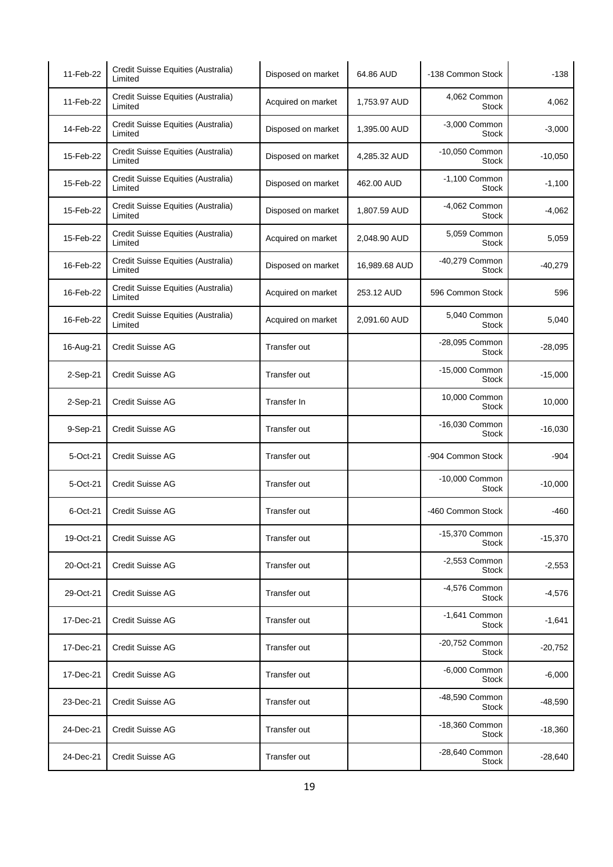| 11-Feb-22 | Credit Suisse Equities (Australia)<br>Limited | Disposed on market | 64.86 AUD     | -138 Common Stock               | $-138$    |
|-----------|-----------------------------------------------|--------------------|---------------|---------------------------------|-----------|
| 11-Feb-22 | Credit Suisse Equities (Australia)<br>Limited | Acquired on market | 1,753.97 AUD  | 4,062 Common<br><b>Stock</b>    | 4,062     |
| 14-Feb-22 | Credit Suisse Equities (Australia)<br>Limited | Disposed on market | 1,395.00 AUD  | -3,000 Common<br><b>Stock</b>   | $-3,000$  |
| 15-Feb-22 | Credit Suisse Equities (Australia)<br>Limited | Disposed on market | 4,285.32 AUD  | -10,050 Common<br><b>Stock</b>  | $-10,050$ |
| 15-Feb-22 | Credit Suisse Equities (Australia)<br>Limited | Disposed on market | 462.00 AUD    | -1,100 Common<br>Stock          | $-1,100$  |
| 15-Feb-22 | Credit Suisse Equities (Australia)<br>Limited | Disposed on market | 1,807.59 AUD  | -4,062 Common<br>Stock          | $-4,062$  |
| 15-Feb-22 | Credit Suisse Equities (Australia)<br>Limited | Acquired on market | 2,048.90 AUD  | 5,059 Common<br><b>Stock</b>    | 5,059     |
| 16-Feb-22 | Credit Suisse Equities (Australia)<br>Limited | Disposed on market | 16,989.68 AUD | -40,279 Common<br><b>Stock</b>  | $-40,279$ |
| 16-Feb-22 | Credit Suisse Equities (Australia)<br>Limited | Acquired on market | 253.12 AUD    | 596 Common Stock                | 596       |
| 16-Feb-22 | Credit Suisse Equities (Australia)<br>Limited | Acquired on market | 2,091.60 AUD  | 5,040 Common<br>Stock           | 5,040     |
| 16-Aug-21 | <b>Credit Suisse AG</b>                       | Transfer out       |               | -28,095 Common<br><b>Stock</b>  | $-28,095$ |
| 2-Sep-21  | <b>Credit Suisse AG</b>                       | Transfer out       |               | -15,000 Common<br><b>Stock</b>  | $-15,000$ |
| 2-Sep-21  | <b>Credit Suisse AG</b>                       | Transfer In        |               | 10,000 Common<br>Stock          | 10,000    |
| 9-Sep-21  | <b>Credit Suisse AG</b>                       | Transfer out       |               | -16,030 Common<br><b>Stock</b>  | $-16,030$ |
| 5-Oct-21  | <b>Credit Suisse AG</b>                       | Transfer out       |               | -904 Common Stock               | -904      |
| 5-Oct-21  | <b>Credit Suisse AG</b>                       | Transfer out       |               | -10,000 Common<br><b>Stock</b>  | $-10,000$ |
| 6-Oct-21  | <b>Credit Suisse AG</b>                       | Transfer out       |               | -460 Common Stock               | -460      |
| 19-Oct-21 | <b>Credit Suisse AG</b>                       | Transfer out       |               | -15,370 Common<br>Stock         | $-15,370$ |
| 20-Oct-21 | <b>Credit Suisse AG</b>                       | Transfer out       |               | -2,553 Common<br>Stock          | $-2,553$  |
| 29-Oct-21 | <b>Credit Suisse AG</b>                       | Transfer out       |               | -4,576 Common<br><b>Stock</b>   | $-4,576$  |
| 17-Dec-21 | <b>Credit Suisse AG</b>                       | Transfer out       |               | $-1,641$ Common<br><b>Stock</b> | $-1.641$  |
| 17-Dec-21 | <b>Credit Suisse AG</b>                       | Transfer out       |               | -20,752 Common<br>Stock         | $-20,752$ |
| 17-Dec-21 | Credit Suisse AG                              | Transfer out       |               | -6,000 Common<br>Stock          | $-6,000$  |
| 23-Dec-21 | <b>Credit Suisse AG</b>                       | Transfer out       |               | -48,590 Common<br>Stock         | $-48,590$ |
| 24-Dec-21 | <b>Credit Suisse AG</b>                       | Transfer out       |               | -18,360 Common<br>Stock         | $-18,360$ |
| 24-Dec-21 | <b>Credit Suisse AG</b>                       | Transfer out       |               | -28,640 Common<br>Stock         | $-28,640$ |